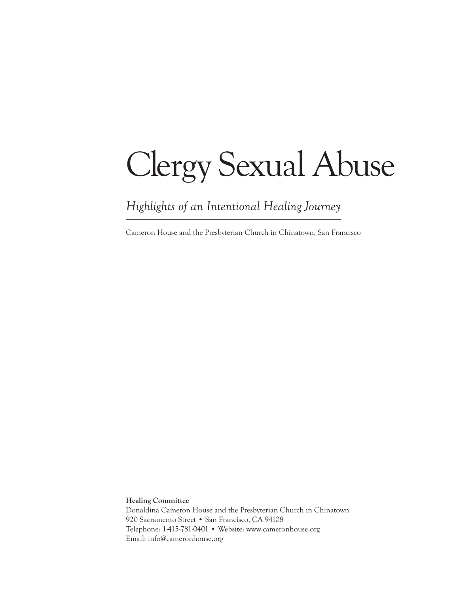# Clergy Sexual Abuse

*Highlights of an Intentional Healing Journey*

Cameron House and the Presbyterian Church in Chinatown, San Francisco

**Healing Committee** Donaldina Cameron House and the Presbyterian Church in Chinatown 920 Sacramento Street • San Francisco, CA 94108 Telephone: 1-415-781-0401 • Website: www.cameronhouse.org Email: info@cameronhouse.org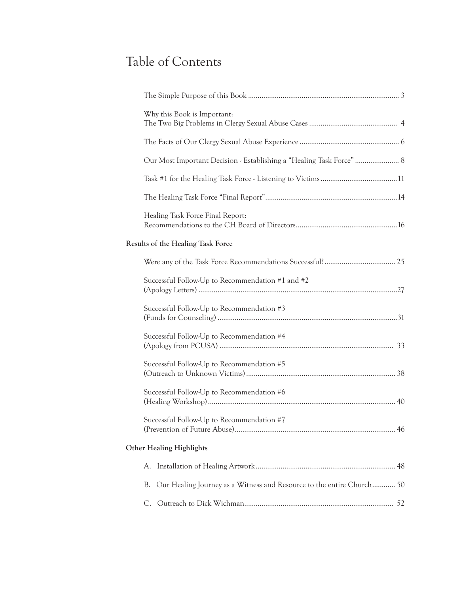# Table of Contents

| Why this Book is Important:                                                 |  |
|-----------------------------------------------------------------------------|--|
|                                                                             |  |
| Our Most Important Decision - Establishing a "Healing Task Force"  8        |  |
|                                                                             |  |
|                                                                             |  |
| Healing Task Force Final Report:                                            |  |
| Results of the Healing Task Force                                           |  |
|                                                                             |  |
| Successful Follow-Up to Recommendation #1 and #2                            |  |
| Successful Follow-Up to Recommendation #3                                   |  |
| Successful Follow-Up to Recommendation #4                                   |  |
| Successful Follow-Up to Recommendation #5                                   |  |
| Successful Follow-Up to Recommendation #6                                   |  |
| Successful Follow-Up to Recommendation #7                                   |  |
| <b>Other Healing Highlights</b>                                             |  |
| A.                                                                          |  |
| Our Healing Journey as a Witness and Resource to the entire Church 50<br>В. |  |
| C.                                                                          |  |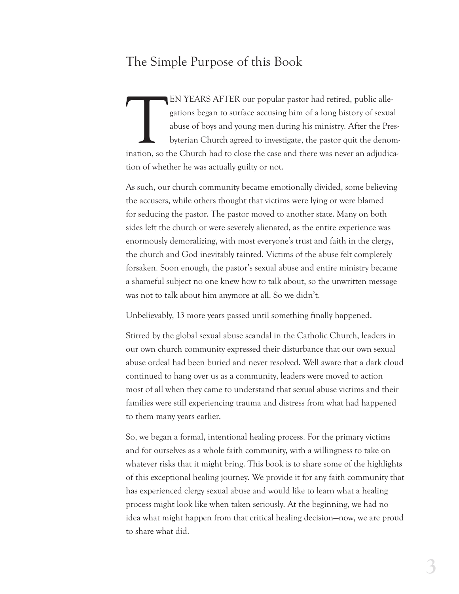## The Simple Purpose of this Book

EN YEARS AFTER our popular pastor had retired, public allegations began to surface accusing him of a long history of sexual abuse of boys and young men during his ministry. After the Preformation, so the Church had to clos gations began to surface accusing him of a long history of sexual abuse of boys and young men during his ministry. After the Presbyterian Church agreed to investigate, the pastor quit the denomination, so the Church had to close the case and there was never an adjudication of whether he was actually guilty or not.

As such, our church community became emotionally divided, some believing the accusers, while others thought that victims were lying or were blamed for seducing the pastor. The pastor moved to another state. Many on both sides left the church or were severely alienated, as the entire experience was enormously demoralizing, with most everyone's trust and faith in the clergy, the church and God inevitably tainted. Victims of the abuse felt completely forsaken. Soon enough, the pastor's sexual abuse and entire ministry became a shameful subject no one knew how to talk about, so the unwritten message was not to talk about him anymore at all. So we didn't.

Unbelievably, 13 more years passed until something finally happened.

Stirred by the global sexual abuse scandal in the Catholic Church, leaders in our own church community expressed their disturbance that our own sexual abuse ordeal had been buried and never resolved. Well aware that a dark cloud continued to hang over us as a community, leaders were moved to action most of all when they came to understand that sexual abuse victims and their families were still experiencing trauma and distress from what had happened to them many years earlier.

So, we began a formal, intentional healing process. For the primary victims and for ourselves as a whole faith community, with a willingness to take on whatever risks that it might bring. This book is to share some of the highlights of this exceptional healing journey. We provide it for any faith community that has experienced clergy sexual abuse and would like to learn what a healing process might look like when taken seriously. At the beginning, we had no idea what might happen from that critical healing decision—now, we are proud to share what did.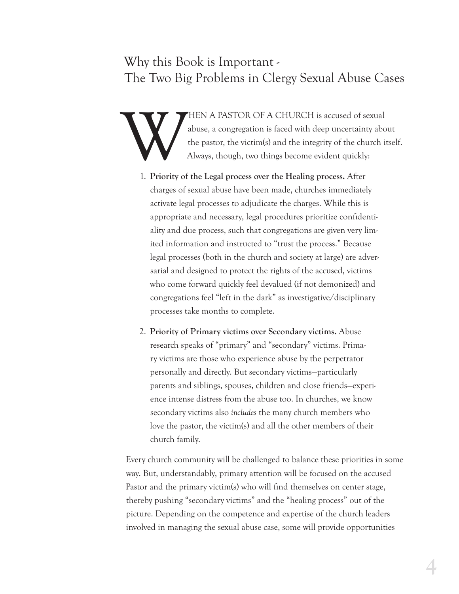## Why this Book is Important - The Two Big Problems in Clergy Sexual Abuse Cases

HEN A PASTOR OF A CHURCH is accused of sexual<br>abuse, a congregation is faced with deep uncertainty abo<br>the pastor, the victim(s) and the integrity of the church is<br>Always, though, two things become evident quickly: abuse, a congregation is faced with deep uncertainty about the pastor, the victim(s) and the integrity of the church itself. Always, though, two things become evident quickly:

- 1. **Priority of the Legal process over the Healing process.** After charges of sexual abuse have been made, churches immediately activate legal processes to adjudicate the charges. While this is appropriate and necessary, legal procedures prioritize confidentiality and due process, such that congregations are given very limited information and instructed to "trust the process." Because legal processes (both in the church and society at large) are adversarial and designed to protect the rights of the accused, victims who come forward quickly feel devalued (if not demonized) and congregations feel "left in the dark" as investigative/disciplinary processes take months to complete.
- 2. **Priority of Primary victims over Secondary victims.** Abuse research speaks of "primary" and "secondary" victims. Primary victims are those who experience abuse by the perpetrator personally and directly. But secondary victims—particularly parents and siblings, spouses, children and close friends—experience intense distress from the abuse too. In churches, we know secondary victims also *includes* the many church members who love the pastor, the victim(s) and all the other members of their church family.

Every church community will be challenged to balance these priorities in some way. But, understandably, primary attention will be focused on the accused Pastor and the primary victim(s) who will find themselves on center stage, thereby pushing "secondary victims" and the "healing process" out of the picture. Depending on the competence and expertise of the church leaders involved in managing the sexual abuse case, some will provide opportunities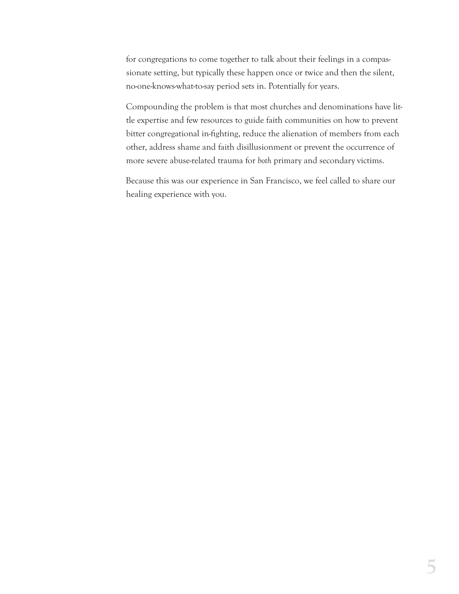for congregations to come together to talk about their feelings in a compassionate setting, but typically these happen once or twice and then the silent, no-one-knows-what-to-say period sets in. Potentially for years.

Compounding the problem is that most churches and denominations have little expertise and few resources to guide faith communities on how to prevent bitter congregational in-fighting, reduce the alienation of members from each other, address shame and faith disillusionment or prevent the occurrence of more severe abuse-related trauma for *both* primary and secondary victims.

Because this was our experience in San Francisco, we feel called to share our healing experience with you.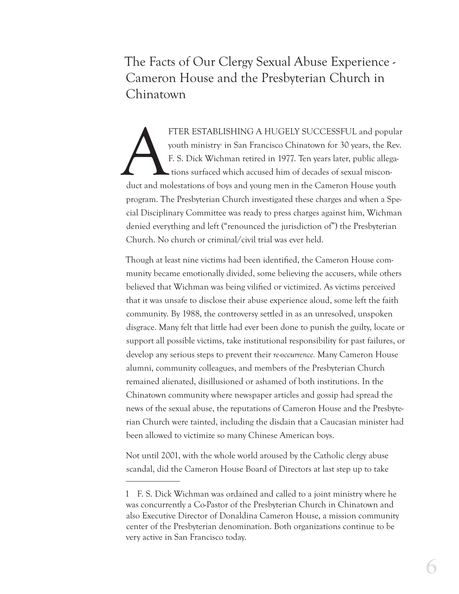The Facts of Our Clergy Sexual Abuse Experience - Cameron House and the Presbyterian Church in Chinatown

FTER ESTABLISHING A HUGELY SUCCESSFUL and popular youth ministry<sup>1</sup> in San Francisco Chinatown for 30 years, the Rev. F. S. Dick Wichman retired in 1977. Ten years later, public allegations surfaced which accused him of de youth ministry' in San Francisco Chinatown for 30 years, the Rev. F. S. Dick Wichman retired in 1977. Ten years later, public allegations surfaced which accused him of decades of sexual misconprogram. The Presbyterian Church investigated these charges and when a Special Disciplinary Committee was ready to press charges against him, Wichman denied everything and left ("renounced the jurisdiction of") the Presbyterian Church. No church or criminal/civil trial was ever held.

Though at least nine victims had been identified, the Cameron House community became emotionally divided, some believing the accusers, while others believed that Wichman was being vilified or victimized. As victims perceived that it was unsafe to disclose their abuse experience aloud, some left the faith community. By 1988, the controversy settled in as an unresolved, unspoken disgrace. Many felt that little had ever been done to punish the guilty, locate or support all possible victims, take institutional responsibility for past failures, or develop any serious steps to prevent their *re-occurrence.* Many Cameron House alumni, community colleagues, and members of the Presbyterian Church remained alienated, disillusioned or ashamed of both institutions. In the Chinatown community where newspaper articles and gossip had spread the news of the sexual abuse, the reputations of Cameron House and the Presbyterian Church were tainted, including the disdain that a Caucasian minister had been allowed to victimize so many Chinese American boys.

Not until 2001, with the whole world aroused by the Catholic clergy abuse scandal, did the Cameron House Board of Directors at last step up to take

<sup>1</sup> F. S. Dick Wichman was ordained and called to a joint ministry where he was concurrently a Co-Pastor of the Presbyterian Church in Chinatown and also Executive Director of Donaldina Cameron House, a mission community center of the Presbyterian denomination. Both organizations continue to be very active in San Francisco today.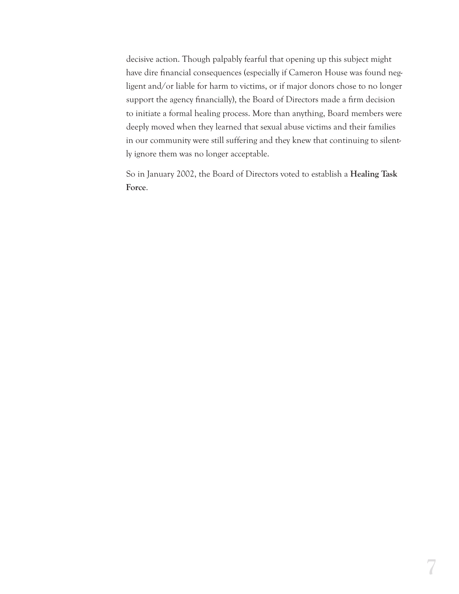decisive action. Though palpably fearful that opening up this subject might have dire financial consequences (especially if Cameron House was found negligent and/or liable for harm to victims, or if major donors chose to no longer support the agency financially), the Board of Directors made a firm decision to initiate a formal healing process. More than anything, Board members were deeply moved when they learned that sexual abuse victims and their families in our community were still suffering and they knew that continuing to silently ignore them was no longer acceptable.

So in January 2002, the Board of Directors voted to establish a **Healing Task Force**.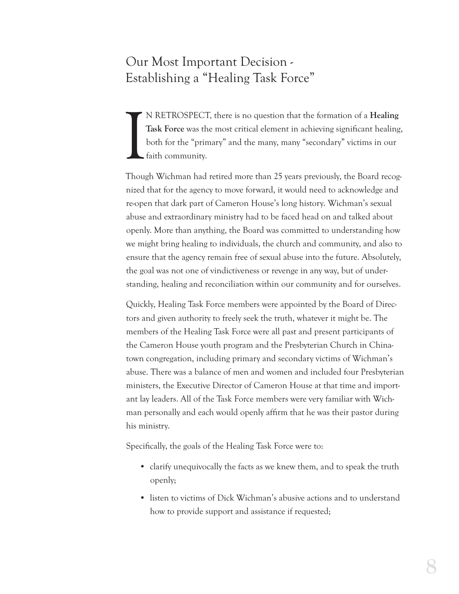## Our Most Important Decision - Establishing a "Healing Task Force"

I N RETROSPECT, there is no question that the formation of a **Healing**  Task Force was the most critical element in achieving significant healing, both for the "primary" and the many, many "secondary" victims in our faith community.

Though Wichman had retired more than 25 years previously, the Board recognized that for the agency to move forward, it would need to acknowledge and re-open that dark part of Cameron House's long history. Wichman's sexual abuse and extraordinary ministry had to be faced head on and talked about openly. More than anything, the Board was committed to understanding how we might bring healing to individuals, the church and community, and also to ensure that the agency remain free of sexual abuse into the future. Absolutely, the goal was not one of vindictiveness or revenge in any way, but of understanding, healing and reconciliation within our community and for ourselves.

Quickly, Healing Task Force members were appointed by the Board of Directors and given authority to freely seek the truth, whatever it might be. The members of the Healing Task Force were all past and present participants of the Cameron House youth program and the Presbyterian Church in Chinatown congregation, including primary and secondary victims of Wichman's abuse. There was a balance of men and women and included four Presbyterian ministers, the Executive Director of Cameron House at that time and important lay leaders. All of the Task Force members were very familiar with Wichman personally and each would openly affirm that he was their pastor during his ministry.

Specifically, the goals of the Healing Task Force were to:

- clarify unequivocally the facts as we knew them, and to speak the truth openly;
- listen to victims of Dick Wichman's abusive actions and to understand how to provide support and assistance if requested;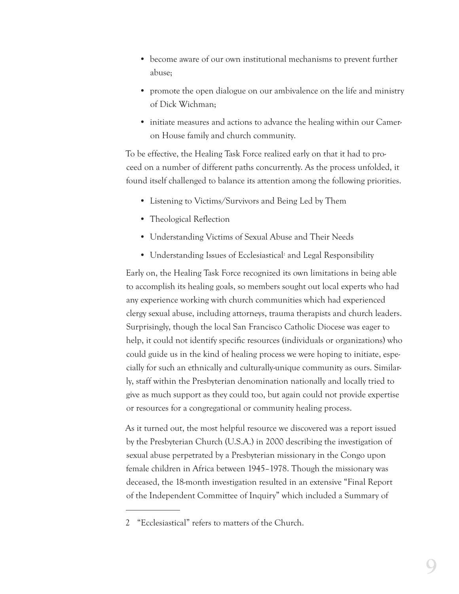- become aware of our own institutional mechanisms to prevent further abuse;
- promote the open dialogue on our ambivalence on the life and ministry of Dick Wichman;
- initiate measures and actions to advance the healing within our Cameron House family and church community.

To be effective, the Healing Task Force realized early on that it had to proceed on a number of different paths concurrently. As the process unfolded, it found itself challenged to balance its attention among the following priorities.

- Listening to Victims/Survivors and Being Led by Them
- Theological Reflection
- Understanding Victims of Sexual Abuse and Their Needs
- Understanding Issues of Ecclesiastical<sup>2</sup> and Legal Responsibility

Early on, the Healing Task Force recognized its own limitations in being able to accomplish its healing goals, so members sought out local experts who had any experience working with church communities which had experienced clergy sexual abuse, including attorneys, trauma therapists and church leaders. Surprisingly, though the local San Francisco Catholic Diocese was eager to help, it could not identify specific resources (individuals or organizations) who could guide us in the kind of healing process we were hoping to initiate, especially for such an ethnically and culturally-unique community as ours. Similarly, staff within the Presbyterian denomination nationally and locally tried to give as much support as they could too, but again could not provide expertise or resources for a congregational or community healing process.

As it turned out, the most helpful resource we discovered was a report issued by the Presbyterian Church (U.S.A.) in 2000 describing the investigation of sexual abuse perpetrated by a Presbyterian missionary in the Congo upon female children in Africa between 1945–1978. Though the missionary was deceased, the 18-month investigation resulted in an extensive "Final Report of the Independent Committee of Inquiry" which included a Summary of

<sup>2</sup> "Ecclesiastical" refers to matters of the Church.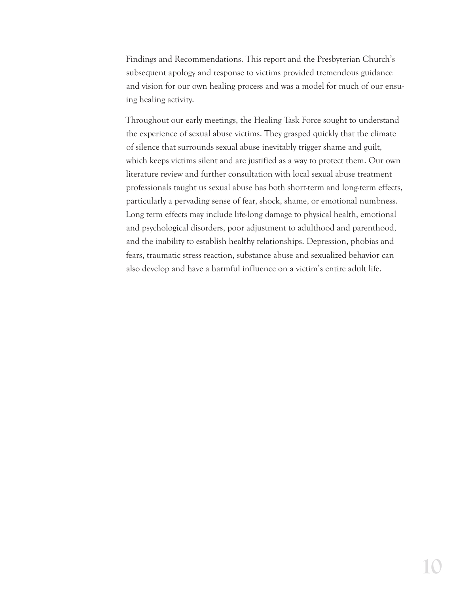Findings and Recommendations. This report and the Presbyterian Church's subsequent apology and response to victims provided tremendous guidance and vision for our own healing process and was a model for much of our ensuing healing activity.

Throughout our early meetings, the Healing Task Force sought to understand the experience of sexual abuse victims. They grasped quickly that the climate of silence that surrounds sexual abuse inevitably trigger shame and guilt, which keeps victims silent and are justified as a way to protect them. Our own literature review and further consultation with local sexual abuse treatment professionals taught us sexual abuse has both short-term and long-term effects, particularly a pervading sense of fear, shock, shame, or emotional numbness. Long term effects may include life-long damage to physical health, emotional and psychological disorders, poor adjustment to adulthood and parenthood, and the inability to establish healthy relationships. Depression, phobias and fears, traumatic stress reaction, substance abuse and sexualized behavior can also develop and have a harmful influence on a victim's entire adult life.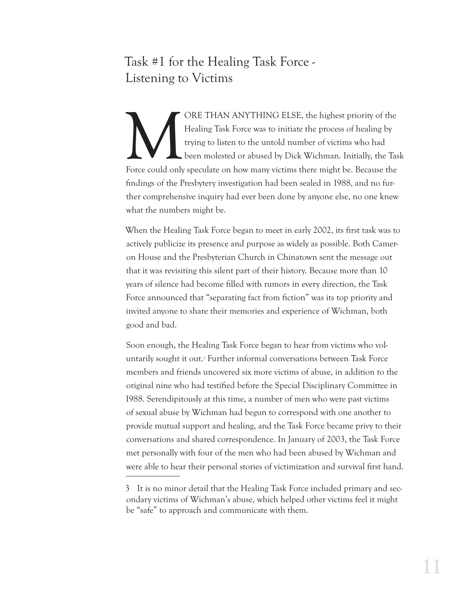## Task #1 for the Healing Task Force - Listening to Victims

ORE THAN ANYTHING ELSE, the highest priority of the Healing Task Force was to initiate the process of healing by trying to listen to the untold number of victims who had been molested or abused by Dick Wichman. Initially, Healing Task Force was to initiate the process of healing by trying to listen to the untold number of victims who had been molested or abused by Dick Wichman. Initially, the Task Force could only speculate on how many victims there might be. Because the ndings of the Presbytery investigation had been sealed in 1988, and no further comprehensive inquiry had ever been done by anyone else, no one knew what the numbers might be.

When the Healing Task Force began to meet in early 2002, its first task was to actively publicize its presence and purpose as widely as possible. Both Cameron House and the Presbyterian Church in Chinatown sent the message out that it was revisiting this silent part of their history. Because more than 10 years of silence had become filled with rumors in every direction, the Task Force announced that "separating fact from fiction" was its top priority and invited anyone to share their memories and experience of Wichman, both good and bad.

Soon enough, the Healing Task Force began to hear from victims who voluntarily sought it out.<sup>3</sup> Further informal conversations between Task Force members and friends uncovered six more victims of abuse, in addition to the original nine who had testied before the Special Disciplinary Committee in 1988. Serendipitously at this time, a number of men who were past victims of sexual abuse by Wichman had begun to correspond with one another to provide mutual support and healing, and the Task Force became privy to their conversations and shared correspondence. In January of 2003, the Task Force met personally with four of the men who had been abused by Wichman and were able to hear their personal stories of victimization and survival first hand.

<sup>3</sup> It is no minor detail that the Healing Task Force included primary and secondary victims of Wichman's abuse, which helped other victims feel it might be "safe" to approach and communicate with them.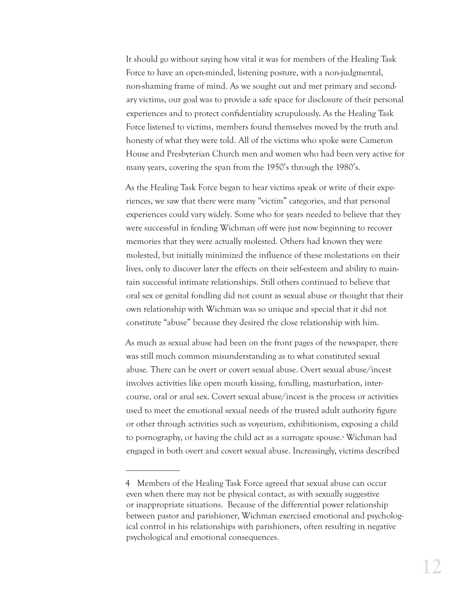It should go without saying how vital it was for members of the Healing Task Force to have an open-minded, listening posture, with a non-judgmental, non-shaming frame of mind. As we sought out and met primary and secondary victims, our goal was to provide a safe space for disclosure of their personal experiences and to protect confidentiality scrupulously. As the Healing Task Force listened to victims, members found themselves moved by the truth and honesty of what they were told. All of the victims who spoke were Cameron House and Presbyterian Church men and women who had been very active for many years, covering the span from the 1950's through the 1980's.

As the Healing Task Force began to hear victims speak or write of their experiences, we saw that there were many "victim" categories, and that personal experiences could vary widely. Some who for years needed to believe that they were successful in fending Wichman off were just now beginning to recover memories that they were actually molested. Others had known they were molested, but initially minimized the influence of these molestations on their lives, only to discover later the effects on their self-esteem and ability to maintain successful intimate relationships. Still others continued to believe that oral sex or genital fondling did not count as sexual abuse or thought that their own relationship with Wichman was so unique and special that it did not constitute "abuse" because they desired the close relationship with him.

As much as sexual abuse had been on the front pages of the newspaper, there was still much common misunderstanding as to what constituted sexual abuse. There can be overt or covert sexual abuse. Overt sexual abuse/incest involves activities like open mouth kissing, fondling, masturbation, intercourse, oral or anal sex. Covert sexual abuse/incest is the process or activities used to meet the emotional sexual needs of the trusted adult authority figure or other through activities such as voyeurism, exhibitionism, exposing a child to pornography, or having the child act as a surrogate spouse.4 Wichman had engaged in both overt and covert sexual abuse. Increasingly, victims described

<sup>4</sup> Members of the Healing Task Force agreed that sexual abuse can occur even when there may not be physical contact, as with sexually suggestive or inappropriate situations. Because of the differential power relationship between pastor and parishioner, Wichman exercised emotional and psychological control in his relationships with parishioners, often resulting in negative psychological and emotional consequences.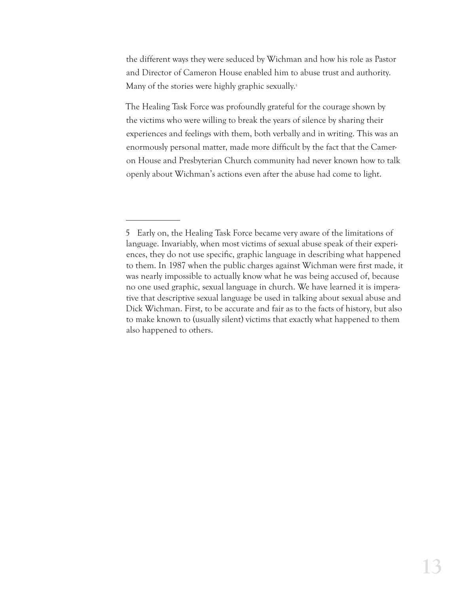the different ways they were seduced by Wichman and how his role as Pastor and Director of Cameron House enabled him to abuse trust and authority. Many of the stories were highly graphic sexually.<sup>5</sup>

The Healing Task Force was profoundly grateful for the courage shown by the victims who were willing to break the years of silence by sharing their experiences and feelings with them, both verbally and in writing. This was an enormously personal matter, made more difficult by the fact that the Cameron House and Presbyterian Church community had never known how to talk openly about Wichman's actions even after the abuse had come to light.

<sup>5</sup> Early on, the Healing Task Force became very aware of the limitations of language. Invariably, when most victims of sexual abuse speak of their experiences, they do not use specific, graphic language in describing what happened to them. In 1987 when the public charges against Wichman were first made, it was nearly impossible to actually know what he was being accused of, because no one used graphic, sexual language in church. We have learned it is imperative that descriptive sexual language be used in talking about sexual abuse and Dick Wichman. First, to be accurate and fair as to the facts of history, but also to make known to (usually silent) victims that exactly what happened to them also happened to others.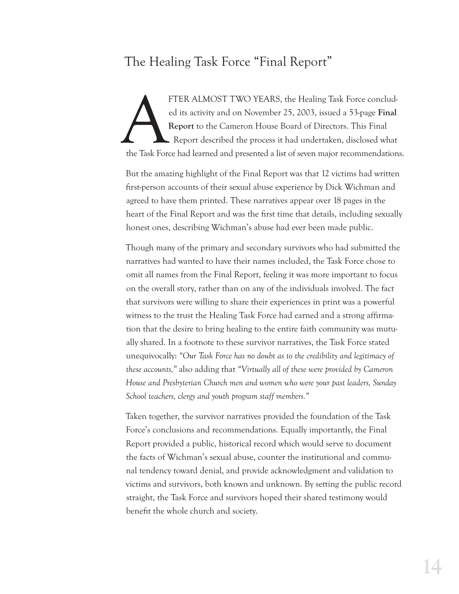## The Healing Task Force "Final Report"

FTER ALMOST TWO YEARS, the Healing Task Force concluded its activity and on November 25, 2003, issued a 53-page Final Report to the Cameron House Board of Directors. This Final Report described the process it had undertake ed its activity and on November 25, 2003, issued a 53-page **Final Report** to the Cameron House Board of Directors. This Final Report described the process it had undertaken, disclosed what the Task Force had learned and presented a list of seven major recommendations.

But the amazing highlight of the Final Report was that 12 victims had written first-person accounts of their sexual abuse experience by Dick Wichman and agreed to have them printed. These narratives appear over 18 pages in the heart of the Final Report and was the first time that details, including sexually honest ones, describing Wichman's abuse had ever been made public.

Though many of the primary and secondary survivors who had submitted the narratives had wanted to have their names included, the Task Force chose to omit all names from the Final Report, feeling it was more important to focus on the overall story, rather than on any of the individuals involved. The fact that survivors were willing to share their experiences in print was a powerful witness to the trust the Healing Task Force had earned and a strong affirmation that the desire to bring healing to the entire faith community was mutually shared. In a footnote to these survivor narratives, the Task Force stated unequivocally: *"Our Task Force has no doubt as to the credibility and legitimacy of these accounts,"* also adding that *"Virtually all of these were provided by Cameron House and Presbyterian Church men and women who were your past leaders, Sunday School teachers, clergy and youth program staff members."*

Taken together, the survivor narratives provided the foundation of the Task Force's conclusions and recommendations. Equally importantly, the Final Report provided a public, historical record which would serve to document the facts of Wichman's sexual abuse, counter the institutional and communal tendency toward denial, and provide acknowledgment and validation to victims and survivors, both known and unknown. By setting the public record straight, the Task Force and survivors hoped their shared testimony would benefit the whole church and society.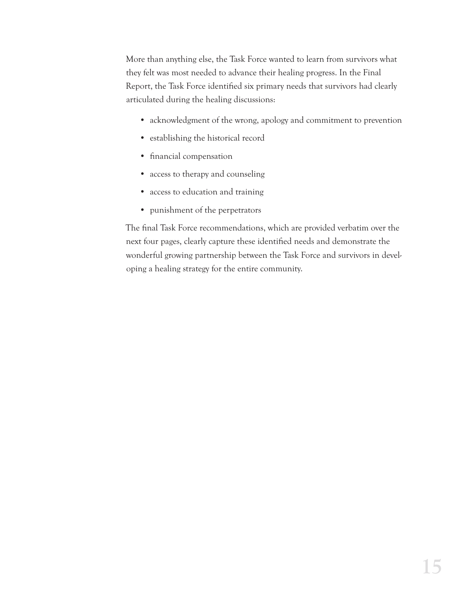More than anything else, the Task Force wanted to learn from survivors what they felt was most needed to advance their healing progress. In the Final Report, the Task Force identified six primary needs that survivors had clearly articulated during the healing discussions:

- acknowledgment of the wrong, apology and commitment to prevention
- establishing the historical record
- financial compensation
- access to therapy and counseling
- access to education and training
- punishment of the perpetrators

The final Task Force recommendations, which are provided verbatim over the next four pages, clearly capture these identified needs and demonstrate the wonderful growing partnership between the Task Force and survivors in developing a healing strategy for the entire community.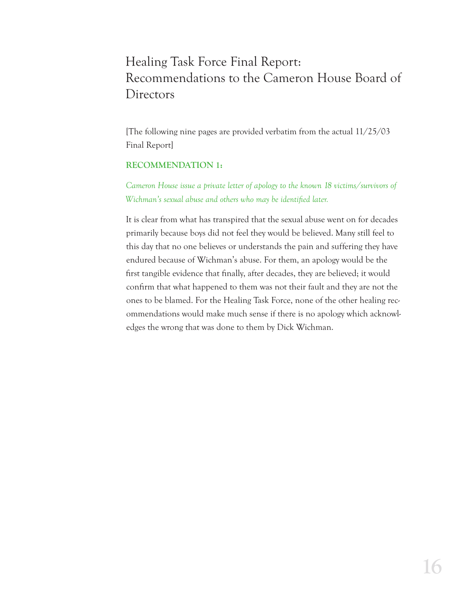## Healing Task Force Final Report: Recommendations to the Cameron House Board of Directors

[The following nine pages are provided verbatim from the actual 11/25/03 Final Report]

#### **RECOMMENDATION 1:**

*Cameron House issue a private letter of apology to the known 18 victims/survivors of Wichman's sexual abuse and others who may be identified later.* 

It is clear from what has transpired that the sexual abuse went on for decades primarily because boys did not feel they would be believed. Many still feel to this day that no one believes or understands the pain and suffering they have endured because of Wichman's abuse. For them, an apology would be the first tangible evidence that finally, after decades, they are believed; it would confirm that what happened to them was not their fault and they are not the ones to be blamed. For the Healing Task Force, none of the other healing recommendations would make much sense if there is no apology which acknowledges the wrong that was done to them by Dick Wichman.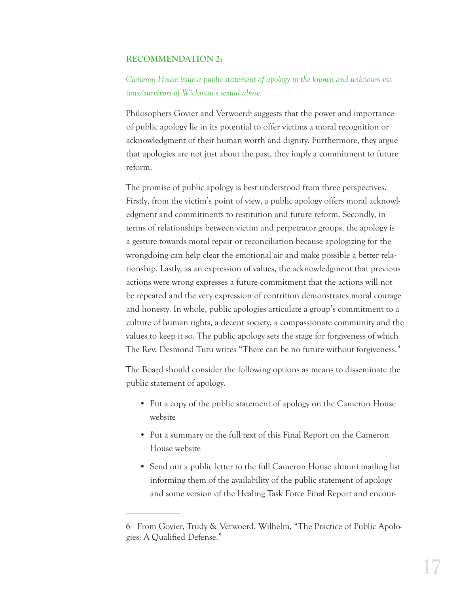#### **RECOMMENDATION 2:**

*Cameron House issue a public statement of apology to the known and unknown victims/survivors of Wichman's sexual abuse.* 

Philosophers Govier and Verwoerd<sup>6</sup> suggests that the power and importance of public apology lie in its potential to offer victims a moral recognition or acknowledgment of their human worth and dignity. Furthermore, they argue that apologies are not just about the past, they imply a commitment to future reform.

The promise of public apology is best understood from three perspectives. Firstly, from the victim's point of view, a public apology offers moral acknowledgment and commitments to restitution and future reform. Secondly, in terms of relationships between victim and perpetrator groups, the apology is a gesture towards moral repair or reconciliation because apologizing for the wrongdoing can help clear the emotional air and make possible a better relationship. Lastly, as an expression of values, the acknowledgment that previous actions were wrong expresses a future commitment that the actions will not be repeated and the very expression of contrition demonstrates moral courage and honesty. In whole, public apologies articulate a group's commitment to a culture of human rights, a decent society, a compassionate community and the values to keep it so. The public apology sets the stage for forgiveness of which The Rev. Desmond Tutu writes "There can be no future without forgiveness."

The Board should consider the following options as means to disseminate the public statement of apology.

- Put a copy of the public statement of apology on the Cameron House website
- Put a summary or the full text of this Final Report on the Cameron House website
- Send out a public letter to the full Cameron House alumni mailing list informing them of the availability of the public statement of apology and some version of the Healing Task Force Final Report and encour-

<sup>6</sup> From Govier, Trudy & Verwoerd, Wilhelm, "The Practice of Public Apologies: A Qualified Defense."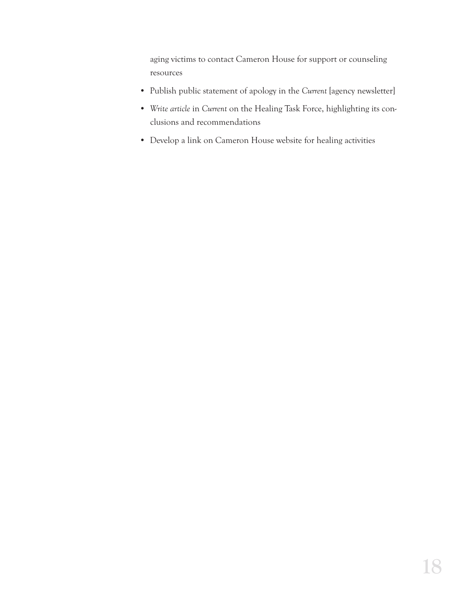aging victims to contact Cameron House for support or counseling resources

- Publish public statement of apology in the *Current* [agency newsletter]
- *Write article* in *Current* on the Healing Task Force, highlighting its conclusions and recommendations
- Develop a link on Cameron House website for healing activities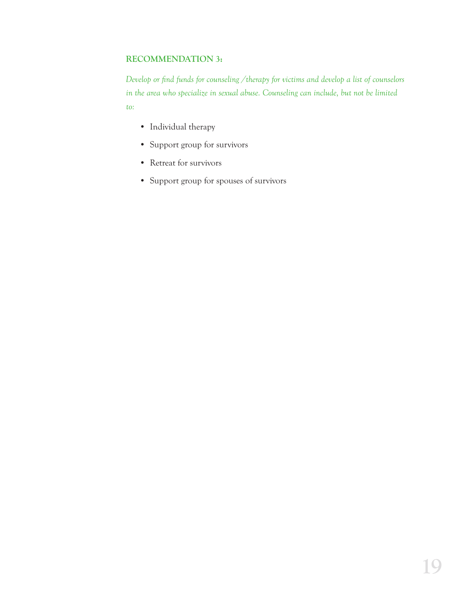#### **RECOMMENDATION 3:**

*Develop or find funds for counseling /therapy for victims and develop a list of counselors in the area who specialize in sexual abuse. Counseling can include, but not be limited to:*

- Individual therapy
- Support group for survivors
- Retreat for survivors
- Support group for spouses of survivors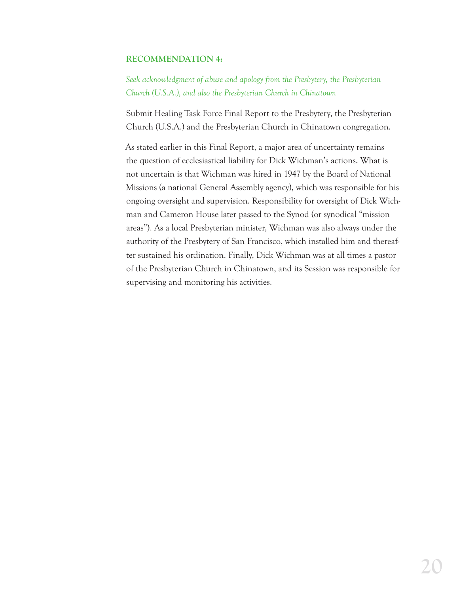#### **RECOMMENDATION 4:**

*Seek acknowledgment of abuse and apology from the Presbytery, the Presbyterian Church (U.S.A.), and also the Presbyterian Church in Chinatown*

Submit Healing Task Force Final Report to the Presbytery, the Presbyterian Church (U.S.A.) and the Presbyterian Church in Chinatown congregation.

As stated earlier in this Final Report, a major area of uncertainty remains the question of ecclesiastical liability for Dick Wichman's actions. What is not uncertain is that Wichman was hired in 1947 by the Board of National Missions (a national General Assembly agency), which was responsible for his ongoing oversight and supervision. Responsibility for oversight of Dick Wichman and Cameron House later passed to the Synod (or synodical "mission areas"). As a local Presbyterian minister, Wichman was also always under the authority of the Presbytery of San Francisco, which installed him and thereafter sustained his ordination. Finally, Dick Wichman was at all times a pastor of the Presbyterian Church in Chinatown, and its Session was responsible for supervising and monitoring his activities.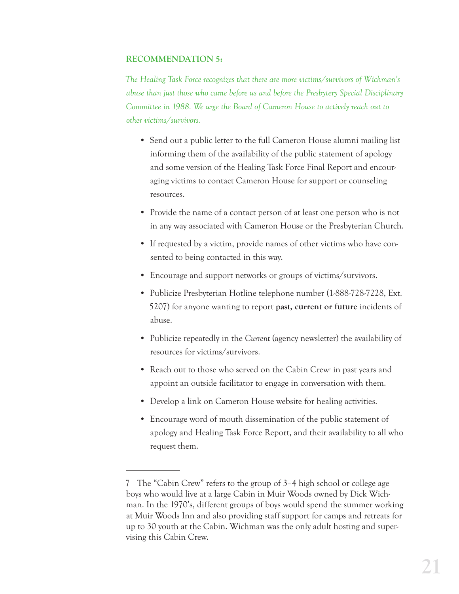#### **RECOMMENDATION 5:**

*The Healing Task Force recognizes that there are more victims/survivors of Wichman's abuse than just those who came before us and before the Presbytery Special Disciplinary Committee in 1988. We urge the Board of Cameron House to actively reach out to other victims/survivors.*

- Send out a public letter to the full Cameron House alumni mailing list informing them of the availability of the public statement of apology and some version of the Healing Task Force Final Report and encouraging victims to contact Cameron House for support or counseling resources.
- Provide the name of a contact person of at least one person who is not in any way associated with Cameron House or the Presbyterian Church.
- If requested by a victim, provide names of other victims who have consented to being contacted in this way.
- Encourage and support networks or groups of victims/survivors.
- Publicize Presbyterian Hotline telephone number (1-888-728-7228, Ext. 5207) for anyone wanting to report **past, current or future** incidents of abuse.
- Publicize repeatedly in the *Current* (agency newsletter) the availability of resources for victims/survivors.
- Reach out to those who served on the Cabin Crew<sup>1</sup> in past years and appoint an outside facilitator to engage in conversation with them.
- Develop a link on Cameron House website for healing activities.
- Encourage word of mouth dissemination of the public statement of apology and Healing Task Force Report, and their availability to all who request them.

<sup>7</sup> The "Cabin Crew" refers to the group of 3–4 high school or college age boys who would live at a large Cabin in Muir Woods owned by Dick Wichman. In the 1970's, different groups of boys would spend the summer working at Muir Woods Inn and also providing staff support for camps and retreats for up to 30 youth at the Cabin. Wichman was the only adult hosting and supervising this Cabin Crew.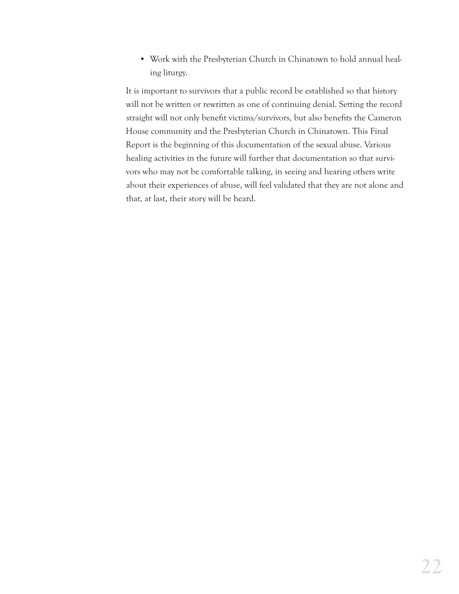• Work with the Presbyterian Church in Chinatown to hold annual healing liturgy.

It is important to survivors that a public record be established so that history will not be written or rewritten as one of continuing denial. Setting the record straight will not only benefit victims/survivors, but also benefits the Cameron House community and the Presbyterian Church in Chinatown. This Final Report is the beginning of this documentation of the sexual abuse. Various healing activities in the future will further that documentation so that survivors who may not be comfortable talking, in seeing and hearing others write about their experiences of abuse, will feel validated that they are not alone and that, at last, their story will be heard.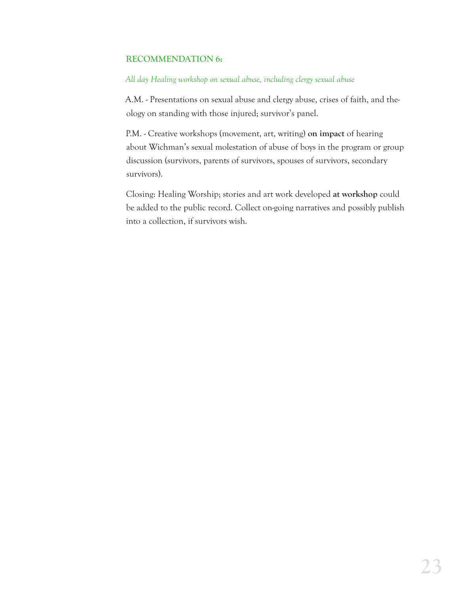#### **RECOMMENDATION 6:**

#### *All day Healing workshop on sexual abuse, including clergy sexual abuse*

A.M. - Presentations on sexual abuse and clergy abuse, crises of faith, and theology on standing with those injured; survivor's panel.

P.M. - Creative workshops (movement, art, writing) **on impact** of hearing about Wichman's sexual molestation of abuse of boys in the program or group discussion (survivors, parents of survivors, spouses of survivors, secondary survivors).

Closing: Healing Worship; stories and art work developed **at workshop** could be added to the public record. Collect on-going narratives and possibly publish into a collection, if survivors wish.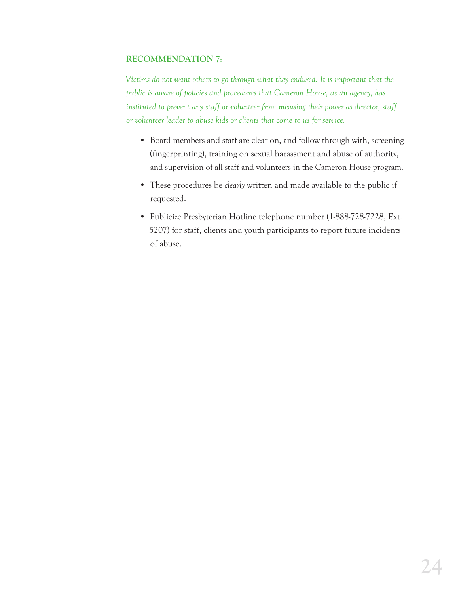#### **RECOMMENDATION 7:**

*Victims do not want others to go through what they endured. It is important that the public is aware of policies and procedures that Cameron House, as an agency, has instituted to prevent any staff or volunteer from misusing their power as director, staff or volunteer leader to abuse kids or clients that come to us for service.* 

- Board members and staff are clear on, and follow through with, screening (fingerprinting), training on sexual harassment and abuse of authority, and supervision of all staff and volunteers in the Cameron House program.
- These procedures be *clearly* written and made available to the public if requested.
- Publicize Presbyterian Hotline telephone number (1-888-728-7228, Ext. 5207) for staff, clients and youth participants to report future incidents of abuse.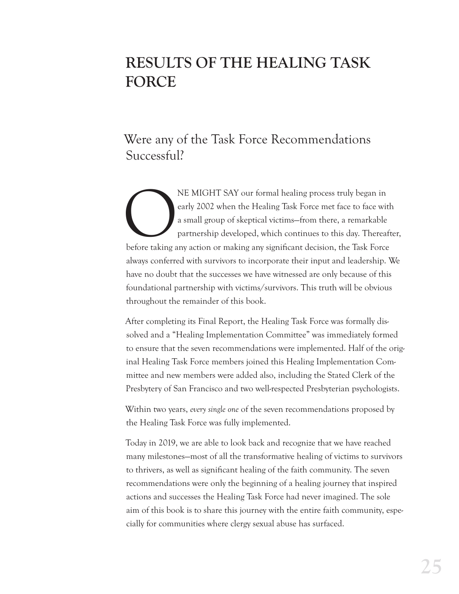# **RESULTS OF THE HEALING TASK FORCE**

## Were any of the Task Force Recommendations Successful?

NE MIGHT SAY our formal healing process truly began in early 2002 when the Healing Task Force met face to face wit a small group of skeptical victims–from there, a remarkable partnership developed, which continues to this early 2002 when the Healing Task Force met face to face with a small group of skeptical victims—from there, a remarkable partnership developed, which continues to this day. Thereafter, before taking any action or making any significant decision, the Task Force always conferred with survivors to incorporate their input and leadership. We have no doubt that the successes we have witnessed are only because of this foundational partnership with victims/survivors. This truth will be obvious throughout the remainder of this book.

After completing its Final Report, the Healing Task Force was formally dissolved and a "Healing Implementation Committee" was immediately formed to ensure that the seven recommendations were implemented. Half of the original Healing Task Force members joined this Healing Implementation Committee and new members were added also, including the Stated Clerk of the Presbytery of San Francisco and two well-respected Presbyterian psychologists.

Within two years, *every single one* of the seven recommendations proposed by the Healing Task Force was fully implemented.

Today in 2019, we are able to look back and recognize that we have reached many milestones—most of all the transformative healing of victims to survivors to thrivers, as well as signicant healing of the faith community. The seven recommendations were only the beginning of a healing journey that inspired actions and successes the Healing Task Force had never imagined. The sole aim of this book is to share this journey with the entire faith community, especially for communities where clergy sexual abuse has surfaced.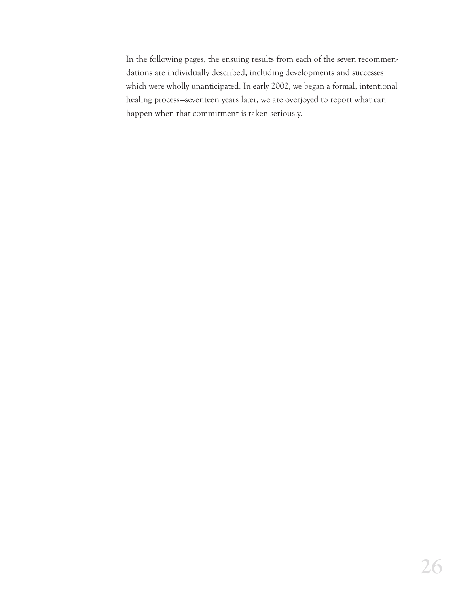In the following pages, the ensuing results from each of the seven recommendations are individually described, including developments and successes which were wholly unanticipated. In early 2002, we began a formal, intentional healing process—seventeen years later, we are overjoyed to report what can happen when that commitment is taken seriously.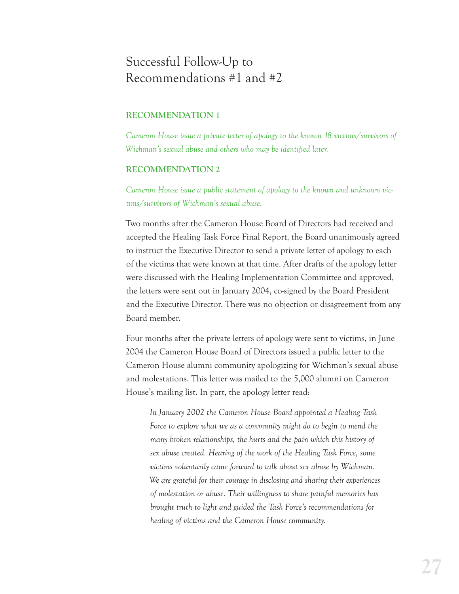## Successful Follow-Up to Recommendations #1 and #2

#### **RECOMMENDATION 1**

*Cameron House issue a private letter of apology to the known 18 victims/survivors of Wichman's sexual abuse and others who may be identified later.* 

#### **RECOMMENDATION 2**

*Cameron House issue a public statement of apology to the known and unknown victims/survivors of Wichman's sexual abuse.*

Two months after the Cameron House Board of Directors had received and accepted the Healing Task Force Final Report, the Board unanimously agreed to instruct the Executive Director to send a private letter of apology to each of the victims that were known at that time. After drafts of the apology letter were discussed with the Healing Implementation Committee and approved, the letters were sent out in January 2004, co-signed by the Board President and the Executive Director. There was no objection or disagreement from any Board member.

Four months after the private letters of apology were sent to victims, in June 2004 the Cameron House Board of Directors issued a public letter to the Cameron House alumni community apologizing for Wichman's sexual abuse and molestations. This letter was mailed to the 5,000 alumni on Cameron House's mailing list. In part, the apology letter read:

*In January 2002 the Cameron House Board appointed a Healing Task Force to explore what we as a community might do to begin to mend the many broken relationships, the hurts and the pain which this history of sex abuse created. Hearing of the work of the Healing Task Force, some victims voluntarily came forward to talk about sex abuse by Wichman. We are grateful for their courage in disclosing and sharing their experiences of molestation or abuse. Their willingness to share painful memories has brought truth to light and guided the Task Force's recommendations for healing of victims and the Cameron House community.*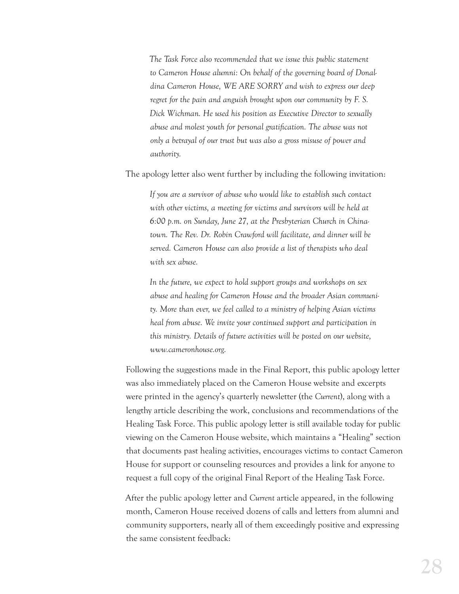*The Task Force also recommended that we issue this public statement to Cameron House alumni: On behalf of the governing board of Donaldina Cameron House, WE ARE SORRY and wish to express our deep regret for the pain and anguish brought upon our community by F. S. Dick Wichman. He used his position as Executive Director to sexually abuse and molest youth for personal gratication. The abuse was not only a betrayal of our trust but was also a gross misuse of power and authority.* 

The apology letter also went further by including the following invitation:

*If you are a survivor of abuse who would like to establish such contact with other victims, a meeting for victims and survivors will be held at 6:00 p.m. on Sunday, June 27, at the Presbyterian Church in Chinatown. The Rev. Dr. Robin Crawford will facilitate, and dinner will be served. Cameron House can also provide a list of therapists who deal with sex abuse.* 

*In the future, we expect to hold support groups and workshops on sex abuse and healing for Cameron House and the broader Asian community. More than ever, we feel called to a ministry of helping Asian victims heal from abuse. We invite your continued support and participation in this ministry. Details of future activities will be posted on our website, www.cameronhouse.org.* 

Following the suggestions made in the Final Report, this public apology letter was also immediately placed on the Cameron House website and excerpts were printed in the agency's quarterly newsletter (the *Current*), along with a lengthy article describing the work, conclusions and recommendations of the Healing Task Force. This public apology letter is still available today for public viewing on the Cameron House website, which maintains a "Healing" section that documents past healing activities, encourages victims to contact Cameron House for support or counseling resources and provides a link for anyone to request a full copy of the original Final Report of the Healing Task Force.

After the public apology letter and *Current* article appeared, in the following month, Cameron House received dozens of calls and letters from alumni and community supporters, nearly all of them exceedingly positive and expressing the same consistent feedback: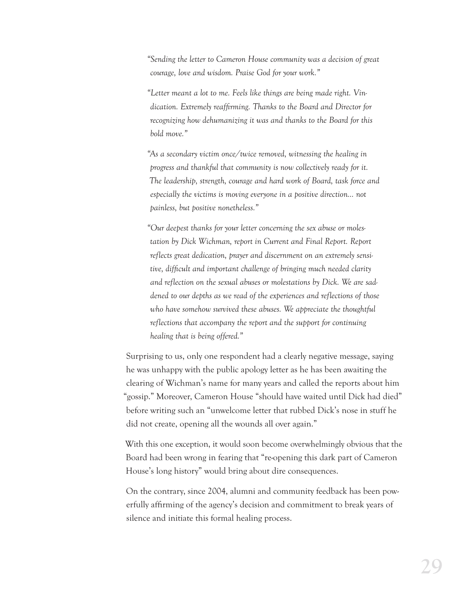*"Sending the letter to Cameron House community was a decision of great courage, love and wisdom. Praise God for your work."*

*"Letter meant a lot to me. Feels like things are being made right. Vindication. Extremely reafrming. Thanks to the Board and Director for recognizing how dehumanizing it was and thanks to the Board for this bold move."*

*"As a secondary victim once/twice removed, witnessing the healing in progress and thankful that community is now collectively ready for it. The leadership, strength, courage and hard work of Board, task force and especially the victims is moving everyone in a positive direction… not painless, but positive nonetheless."*

*"Our deepest thanks for your letter concerning the sex abuse or molestation by Dick Wichman, report in Current and Final Report. Report reflects great dedication, prayer and discernment on an extremely sensitive, difcult and important challenge of bringing much needed clarity and reflection on the sexual abuses or molestations by Dick. We are saddened to our depths as we read of the experiences and reflections of those who have somehow survived these abuses. We appreciate the thoughtful reflections that accompany the report and the support for continuing healing that is being offered."*

Surprising to us, only one respondent had a clearly negative message, saying he was unhappy with the public apology letter as he has been awaiting the clearing of Wichman's name for many years and called the reports about him "gossip." Moreover, Cameron House "should have waited until Dick had died" before writing such an "unwelcome letter that rubbed Dick's nose in stuff he did not create, opening all the wounds all over again."

With this one exception, it would soon become overwhelmingly obvious that the Board had been wrong in fearing that "re-opening this dark part of Cameron House's long history" would bring about dire consequences.

On the contrary, since 2004, alumni and community feedback has been powerfully afrming of the agency's decision and commitment to break years of silence and initiate this formal healing process.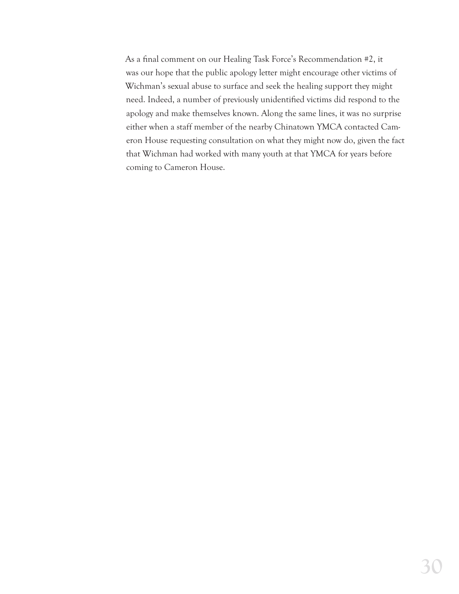As a final comment on our Healing Task Force's Recommendation #2, it was our hope that the public apology letter might encourage other victims of Wichman's sexual abuse to surface and seek the healing support they might need. Indeed, a number of previously unidentified victims did respond to the apology and make themselves known. Along the same lines, it was no surprise either when a staff member of the nearby Chinatown YMCA contacted Cameron House requesting consultation on what they might now do, given the fact that Wichman had worked with many youth at that YMCA for years before coming to Cameron House.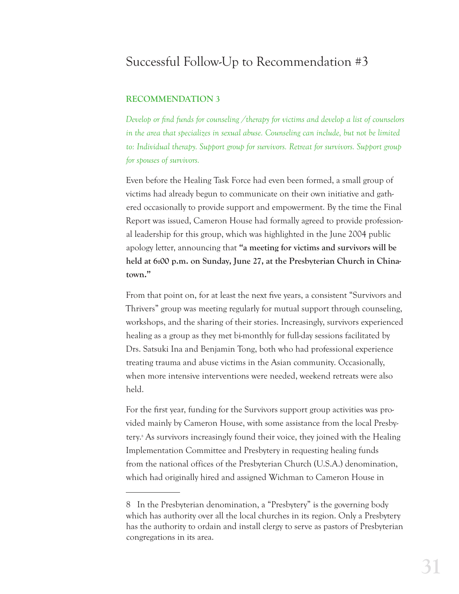## Successful Follow-Up to Recommendation #3

#### **RECOMMENDATION 3**

*Develop or find funds for counseling /therapy for victims and develop a list of counselors in the area that specializes in sexual abuse. Counseling can include, but not be limited to: Individual therapy. Support group for survivors. Retreat for survivors. Support group for spouses of survivors.*

Even before the Healing Task Force had even been formed, a small group of victims had already begun to communicate on their own initiative and gathered occasionally to provide support and empowerment. By the time the Final Report was issued, Cameron House had formally agreed to provide professional leadership for this group, which was highlighted in the June 2004 public apology letter, announcing that **"a meeting for victims and survivors will be held at 6:00 p.m. on Sunday, June 27, at the Presbyterian Church in Chinatown."**

From that point on, for at least the next five years, a consistent "Survivors and Thrivers" group was meeting regularly for mutual support through counseling, workshops, and the sharing of their stories. Increasingly, survivors experienced healing as a group as they met bi-monthly for full-day sessions facilitated by Drs. Satsuki Ina and Benjamin Tong, both who had professional experience treating trauma and abuse victims in the Asian community. Occasionally, when more intensive interventions were needed, weekend retreats were also held.

For the first year, funding for the Survivors support group activities was provided mainly by Cameron House, with some assistance from the local Presbytery.8 As survivors increasingly found their voice, they joined with the Healing Implementation Committee and Presbytery in requesting healing funds from the national offices of the Presbyterian Church (U.S.A.) denomination, which had originally hired and assigned Wichman to Cameron House in

<sup>8</sup> In the Presbyterian denomination, a "Presbytery" is the governing body which has authority over all the local churches in its region. Only a Presbytery has the authority to ordain and install clergy to serve as pastors of Presbyterian congregations in its area.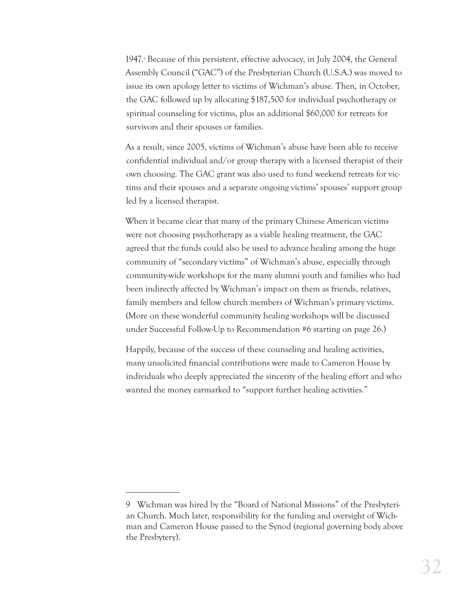1947.<sup>9</sup> Because of this persistent, effective advocacy, in July 2004, the General Assembly Council ("GAC") of the Presbyterian Church (U.S.A.) was moved to issue its own apology letter to victims of Wichman's abuse. Then, in October, the GAC followed up by allocating \$187,500 for individual psychotherapy or spiritual counseling for victims, plus an additional \$60,000 for retreats for survivors and their spouses or families.

As a result, since 2005, victims of Wichman's abuse have been able to receive confidential individual and/or group therapy with a licensed therapist of their own choosing. The GAC grant was also used to fund weekend retreats for victims and their spouses and a separate ongoing victims' spouses' support group led by a licensed therapist.

When it became clear that many of the primary Chinese American victims were not choosing psychotherapy as a viable healing treatment, the GAC agreed that the funds could also be used to advance healing among the huge community of "secondary victims" of Wichman's abuse, especially through community-wide workshops for the many alumni youth and families who had been indirectly affected by Wichman's impact on them as friends, relatives, family members and fellow church members of Wichman's primary victims. (More on these wonderful community healing workshops will be discussed under Successful Follow-Up to Recommendation #6 starting on page 26.)

Happily, because of the success of these counseling and healing activities, many unsolicited financial contributions were made to Cameron House by individuals who deeply appreciated the sincerity of the healing effort and who wanted the money earmarked to "support further healing activities."

<sup>9</sup> Wichman was hired by the "Board of National Missions" of the Presbyterian Church. Much later, responsibility for the funding and oversight of Wichman and Cameron House passed to the Synod (regional governing body above the Presbytery).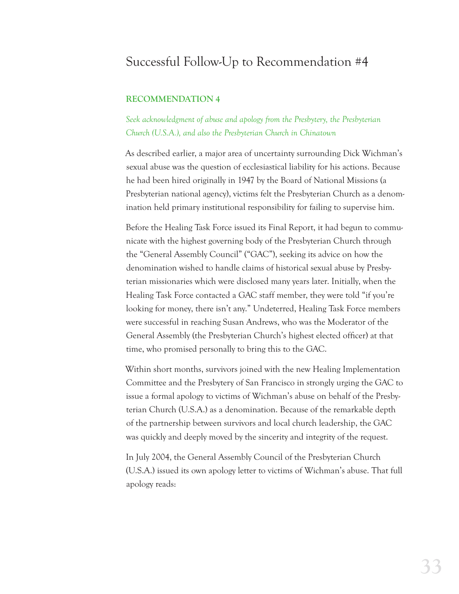## Successful Follow-Up to Recommendation #4

#### **RECOMMENDATION 4**

*Seek acknowledgment of abuse and apology from the Presbytery, the Presbyterian Church (U.S.A.), and also the Presbyterian Church in Chinatown*

As described earlier, a major area of uncertainty surrounding Dick Wichman's sexual abuse was the question of ecclesiastical liability for his actions. Because he had been hired originally in 1947 by the Board of National Missions (a Presbyterian national agency), victims felt the Presbyterian Church as a denomination held primary institutional responsibility for failing to supervise him.

Before the Healing Task Force issued its Final Report, it had begun to communicate with the highest governing body of the Presbyterian Church through the "General Assembly Council" ("GAC"), seeking its advice on how the denomination wished to handle claims of historical sexual abuse by Presbyterian missionaries which were disclosed many years later. Initially, when the Healing Task Force contacted a GAC staff member, they were told "if you're looking for money, there isn't any." Undeterred, Healing Task Force members were successful in reaching Susan Andrews, who was the Moderator of the General Assembly (the Presbyterian Church's highest elected officer) at that time, who promised personally to bring this to the GAC.

Within short months, survivors joined with the new Healing Implementation Committee and the Presbytery of San Francisco in strongly urging the GAC to issue a formal apology to victims of Wichman's abuse on behalf of the Presbyterian Church (U.S.A.) as a denomination. Because of the remarkable depth of the partnership between survivors and local church leadership, the GAC was quickly and deeply moved by the sincerity and integrity of the request.

In July 2004, the General Assembly Council of the Presbyterian Church (U.S.A.) issued its own apology letter to victims of Wichman's abuse. That full apology reads: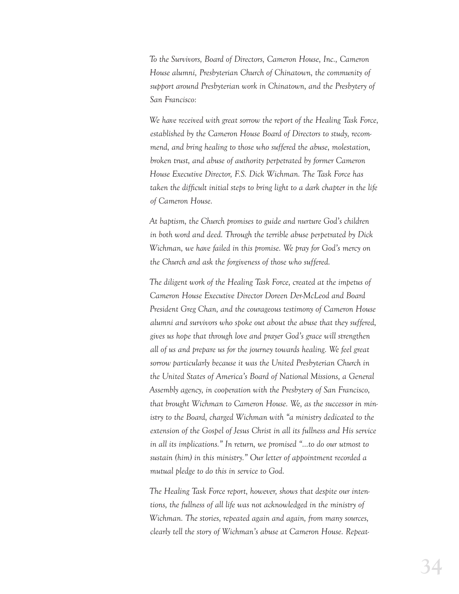*To the Survivors, Board of Directors, Cameron House, Inc., Cameron House alumni, Presbyterian Church of Chinatown, the community of support around Presbyterian work in Chinatown, and the Presbytery of San Francisco:*

*We have received with great sorrow the report of the Healing Task Force, established by the Cameron House Board of Directors to study, recommend, and bring healing to those who suffered the abuse, molestation, broken trust, and abuse of authority perpetrated by former Cameron House Executive Director, F.S. Dick Wichman. The Task Force has taken the difcult initial steps to bring light to a dark chapter in the life of Cameron House.*

*At baptism, the Church promises to guide and nurture God's children in both word and deed. Through the terrible abuse perpetrated by Dick Wichman, we have failed in this promise. We pray for God's mercy on the Church and ask the forgiveness of those who suffered.*

*The diligent work of the Healing Task Force, created at the impetus of Cameron House Executive Director Doreen Der-McLeod and Board President Greg Chan, and the courageous testimony of Cameron House alumni and survivors who spoke out about the abuse that they suffered, gives us hope that through love and prayer God's grace will strengthen all of us and prepare us for the journey towards healing. We feel great sorrow particularly because it was the United Presbyterian Church in the United States of America's Board of National Missions, a General Assembly agency, in cooperation with the Presbytery of San Francisco, that brought Wichman to Cameron House. We, as the successor in ministry to the Board, charged Wichman with "a ministry dedicated to the extension of the Gospel of Jesus Christ in all its fullness and His service in all its implications." In return, we promised "…to do our utmost to sustain (him) in this ministry." Our letter of appointment recorded a mutual pledge to do this in service to God.* 

*The Healing Task Force report, however, shows that despite our intentions, the fullness of all life was not acknowledged in the ministry of Wichman. The stories, repeated again and again, from many sources, clearly tell the story of Wichman's abuse at Cameron House. Repeat-*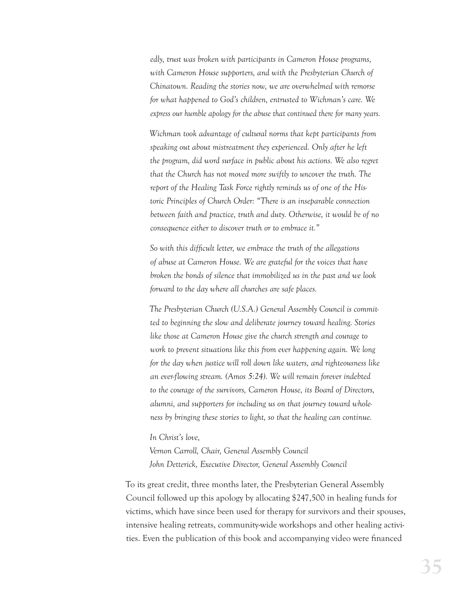*edly, trust was broken with participants in Cameron House programs,*  with Cameron House supporters, and with the Presbyterian Church of *Chinatown. Reading the stories now, we are overwhelmed with remorse for what happened to God's children, entrusted to Wichman's care. We express our humble apology for the abuse that continued there for many years.*

*Wichman took advantage of cultural norms that kept participants from speaking out about mistreatment they experienced. Only after he left the program, did word surface in public about his actions. We also regret that the Church has not moved more swiftly to uncover the truth. The report of the Healing Task Force rightly reminds us of one of the Historic Principles of Church Order: "There is an inseparable connection between faith and practice, truth and duty. Otherwise, it would be of no consequence either to discover truth or to embrace it."*

*So with this difcult letter, we embrace the truth of the allegations of abuse at Cameron House. We are grateful for the voices that have broken the bonds of silence that immobilized us in the past and we look forward to the day where all churches are safe places.*

*The Presbyterian Church (U.S.A.) General Assembly Council is committed to beginning the slow and deliberate journey toward healing. Stories like those at Cameron House give the church strength and courage to work to prevent situations like this from ever happening again. We long for the day when justice will roll down like waters, and righteousness like an ever-flowing stream. (Amos 5:24). We will remain forever indebted to the courage of the survivors, Cameron House, its Board of Directors, alumni, and supporters for including us on that journey toward wholeness by bringing these stories to light, so that the healing can continue.*

*In Christ's love,* 

*Vernon Carroll, Chair, General Assembly Council John Detterick, Executive Director, General Assembly Council*

To its great credit, three months later, the Presbyterian General Assembly Council followed up this apology by allocating \$247,500 in healing funds for victims, which have since been used for therapy for survivors and their spouses, intensive healing retreats, community-wide workshops and other healing activities. Even the publication of this book and accompanying video were financed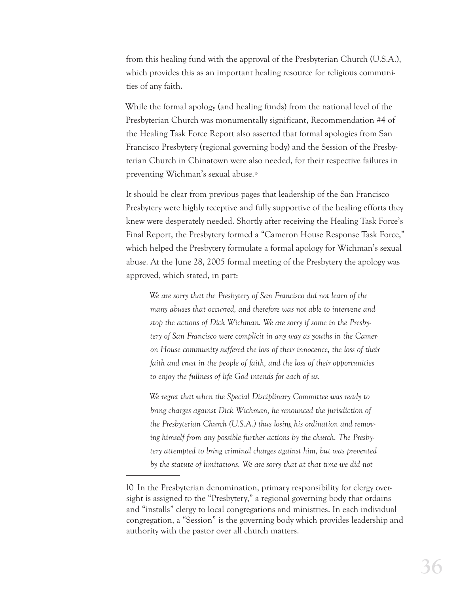from this healing fund with the approval of the Presbyterian Church (U.S.A.), which provides this as an important healing resource for religious communities of any faith.

While the formal apology (and healing funds) from the national level of the Presbyterian Church was monumentally significant, Recommendation #4 of the Healing Task Force Report also asserted that formal apologies from San Francisco Presbytery (regional governing body) and the Session of the Presbyterian Church in Chinatown were also needed, for their respective failures in preventing Wichman's sexual abuse.10

It should be clear from previous pages that leadership of the San Francisco Presbytery were highly receptive and fully supportive of the healing efforts they knew were desperately needed. Shortly after receiving the Healing Task Force's Final Report, the Presbytery formed a "Cameron House Response Task Force," which helped the Presbytery formulate a formal apology for Wichman's sexual abuse. At the June 28, 2005 formal meeting of the Presbytery the apology was approved, which stated, in part:

*We are sorry that the Presbytery of San Francisco did not learn of the many abuses that occurred, and therefore was not able to intervene and stop the actions of Dick Wichman. We are sorry if some in the Presbytery of San Francisco were complicit in any way as youths in the Cameron House community suffered the loss of their innocence, the loss of their faith and trust in the people of faith, and the loss of their opportunities to enjoy the fullness of life God intends for each of us.*

*We regret that when the Special Disciplinary Committee was ready to bring charges against Dick Wichman, he renounced the jurisdiction of the Presbyterian Church (U.S.A.) thus losing his ordination and removing himself from any possible further actions by the church. The Presbytery attempted to bring criminal charges against him, but was prevented by the statute of limitations. We are sorry that at that time we did not* 

<sup>10</sup> In the Presbyterian denomination, primary responsibility for clergy oversight is assigned to the "Presbytery," a regional governing body that ordains and "installs" clergy to local congregations and ministries. In each individual congregation, a "Session" is the governing body which provides leadership and authority with the pastor over all church matters.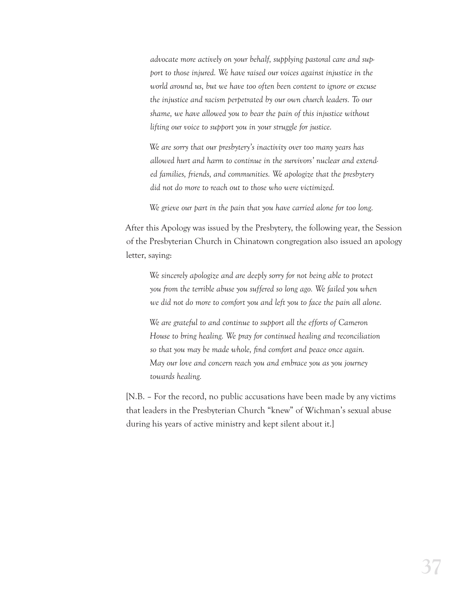*advocate more actively on your behalf, supplying pastoral care and support to those injured. We have raised our voices against injustice in the world around us, but we have too often been content to ignore or excuse the injustice and racism perpetrated by our own church leaders. To our shame, we have allowed you to bear the pain of this injustice without lifting our voice to support you in your struggle for justice.*

*We are sorry that our presbytery's inactivity over too many years has allowed hurt and harm to continue in the survivors' nuclear and extended families, friends, and communities. We apologize that the presbytery did not do more to reach out to those who were victimized.*

*We grieve our part in the pain that you have carried alone for too long.*

After this Apology was issued by the Presbytery, the following year, the Session of the Presbyterian Church in Chinatown congregation also issued an apology letter, saying:

*We sincerely apologize and are deeply sorry for not being able to protect you from the terrible abuse you suffered so long ago. We failed you when we did not do more to comfort you and left you to face the pain all alone.*

*We are grateful to and continue to support all the efforts of Cameron House to bring healing. We pray for continued healing and reconciliation*  so that you may be made whole, find comfort and peace once again. *May our love and concern reach you and embrace you as you journey towards healing.*

[N.B. – For the record, no public accusations have been made by any victims that leaders in the Presbyterian Church "knew" of Wichman's sexual abuse during his years of active ministry and kept silent about it.]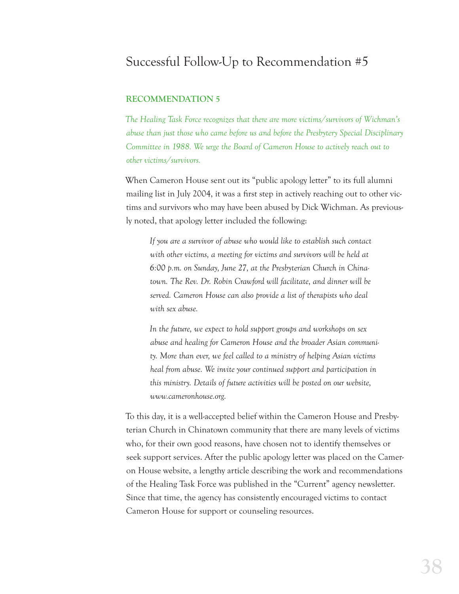## Successful Follow-Up to Recommendation #5

#### **RECOMMENDATION 5**

*The Healing Task Force recognizes that there are more victims/survivors of Wichman's abuse than just those who came before us and before the Presbytery Special Disciplinary Committee in 1988. We urge the Board of Cameron House to actively reach out to other victims/survivors.*

When Cameron House sent out its "public apology letter" to its full alumni mailing list in July 2004, it was a first step in actively reaching out to other victims and survivors who may have been abused by Dick Wichman. As previously noted, that apology letter included the following:

*If you are a survivor of abuse who would like to establish such contact with other victims, a meeting for victims and survivors will be held at 6:00 p.m. on Sunday, June 27, at the Presbyterian Church in Chinatown. The Rev. Dr. Robin Crawford will facilitate, and dinner will be served. Cameron House can also provide a list of therapists who deal with sex abuse.*

*In the future, we expect to hold support groups and workshops on sex abuse and healing for Cameron House and the broader Asian community. More than ever, we feel called to a ministry of helping Asian victims heal from abuse. We invite your continued support and participation in this ministry. Details of future activities will be posted on our website, www.cameronhouse.org.*

To this day, it is a well-accepted belief within the Cameron House and Presbyterian Church in Chinatown community that there are many levels of victims who, for their own good reasons, have chosen not to identify themselves or seek support services. After the public apology letter was placed on the Cameron House website, a lengthy article describing the work and recommendations of the Healing Task Force was published in the "Current" agency newsletter. Since that time, the agency has consistently encouraged victims to contact Cameron House for support or counseling resources.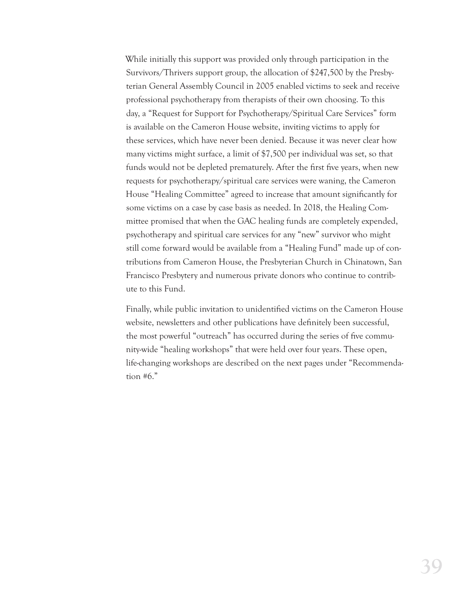While initially this support was provided only through participation in the Survivors/Thrivers support group, the allocation of \$247,500 by the Presbyterian General Assembly Council in 2005 enabled victims to seek and receive professional psychotherapy from therapists of their own choosing. To this day, a "Request for Support for Psychotherapy/Spiritual Care Services" form is available on the Cameron House website, inviting victims to apply for these services, which have never been denied. Because it was never clear how many victims might surface, a limit of \$7,500 per individual was set, so that funds would not be depleted prematurely. After the first five years, when new requests for psychotherapy/spiritual care services were waning, the Cameron House "Healing Committee" agreed to increase that amount significantly for some victims on a case by case basis as needed. In 2018, the Healing Committee promised that when the GAC healing funds are completely expended, psychotherapy and spiritual care services for any "new" survivor who might still come forward would be available from a "Healing Fund" made up of contributions from Cameron House, the Presbyterian Church in Chinatown, San Francisco Presbytery and numerous private donors who continue to contribute to this Fund.

Finally, while public invitation to unidentified victims on the Cameron House website, newsletters and other publications have definitely been successful, the most powerful "outreach" has occurred during the series of five community-wide "healing workshops" that were held over four years. These open, life-changing workshops are described on the next pages under "Recommendation #6."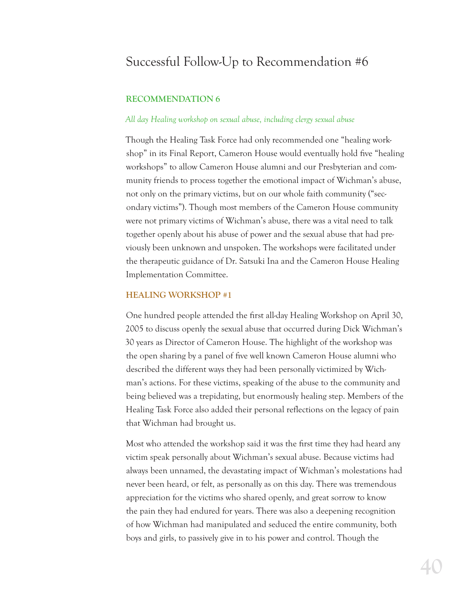## Successful Follow-Up to Recommendation #6

#### **RECOMMENDATION 6**

#### *All day Healing workshop on sexual abuse, including clergy sexual abuse*

Though the Healing Task Force had only recommended one "healing workshop" in its Final Report, Cameron House would eventually hold five "healing workshops" to allow Cameron House alumni and our Presbyterian and community friends to process together the emotional impact of Wichman's abuse, not only on the primary victims, but on our whole faith community ("secondary victims"). Though most members of the Cameron House community were not primary victims of Wichman's abuse, there was a vital need to talk together openly about his abuse of power and the sexual abuse that had previously been unknown and unspoken. The workshops were facilitated under the therapeutic guidance of Dr. Satsuki Ina and the Cameron House Healing Implementation Committee.

#### **HEALING WORKSHOP #1**

One hundred people attended the first all-day Healing Workshop on April 30, 2005 to discuss openly the sexual abuse that occurred during Dick Wichman's 30 years as Director of Cameron House. The highlight of the workshop was the open sharing by a panel of five well known Cameron House alumni who described the different ways they had been personally victimized by Wichman's actions. For these victims, speaking of the abuse to the community and being believed was a trepidating, but enormously healing step. Members of the Healing Task Force also added their personal reflections on the legacy of pain that Wichman had brought us.

Most who attended the workshop said it was the first time they had heard any victim speak personally about Wichman's sexual abuse. Because victims had always been unnamed, the devastating impact of Wichman's molestations had never been heard, or felt, as personally as on this day. There was tremendous appreciation for the victims who shared openly, and great sorrow to know the pain they had endured for years. There was also a deepening recognition of how Wichman had manipulated and seduced the entire community, both boys and girls, to passively give in to his power and control. Though the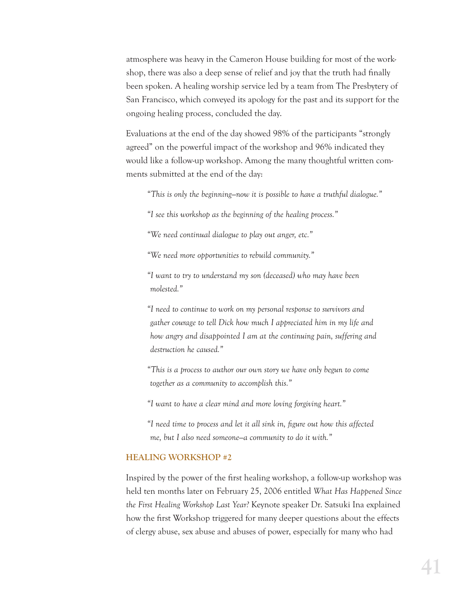atmosphere was heavy in the Cameron House building for most of the workshop, there was also a deep sense of relief and joy that the truth had finally been spoken. A healing worship service led by a team from The Presbytery of San Francisco, which conveyed its apology for the past and its support for the ongoing healing process, concluded the day.

Evaluations at the end of the day showed 98% of the participants "strongly agreed" on the powerful impact of the workshop and 96% indicated they would like a follow-up workshop. Among the many thoughtful written comments submitted at the end of the day:

*"This is only the beginning—now it is possible to have a truthful dialogue."*

*"I see this workshop as the beginning of the healing process."*

*"We need continual dialogue to play out anger, etc."*

*"We need more opportunities to rebuild community."*

*"I want to try to understand my son (deceased) who may have been molested."*

*"I need to continue to work on my personal response to survivors and gather courage to tell Dick how much I appreciated him in my life and how angry and disappointed I am at the continuing pain, suffering and destruction he caused."*

*"This is a process to author our own story we have only begun to come together as a community to accomplish this."*

*"I want to have a clear mind and more loving forgiving heart."*

*"I need time to process and let it all sink in, gure out how this affected me, but I also need someone—a community to do it with."*

#### **HEALING WORKSHOP #2**

Inspired by the power of the first healing workshop, a follow-up workshop was held ten months later on February 25, 2006 entitled *What Has Happened Since the First Healing Workshop Last Year?* Keynote speaker Dr. Satsuki Ina explained how the first Workshop triggered for many deeper questions about the effects of clergy abuse, sex abuse and abuses of power, especially for many who had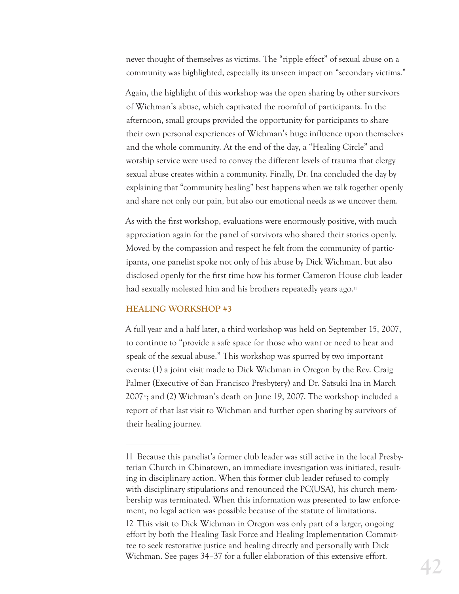never thought of themselves as victims. The "ripple effect" of sexual abuse on a community was highlighted, especially its unseen impact on "secondary victims."

Again, the highlight of this workshop was the open sharing by other survivors of Wichman's abuse, which captivated the roomful of participants. In the afternoon, small groups provided the opportunity for participants to share their own personal experiences of Wichman's huge influence upon themselves and the whole community. At the end of the day, a "Healing Circle" and worship service were used to convey the different levels of trauma that clergy sexual abuse creates within a community. Finally, Dr. Ina concluded the day by explaining that "community healing" best happens when we talk together openly and share not only our pain, but also our emotional needs as we uncover them.

As with the first workshop, evaluations were enormously positive, with much appreciation again for the panel of survivors who shared their stories openly. Moved by the compassion and respect he felt from the community of participants, one panelist spoke not only of his abuse by Dick Wichman, but also disclosed openly for the first time how his former Cameron House club leader had sexually molested him and his brothers repeatedly years ago.<sup>11</sup>

#### **HEALING WORKSHOP #3**

A full year and a half later, a third workshop was held on September 15, 2007, to continue to "provide a safe space for those who want or need to hear and speak of the sexual abuse." This workshop was spurred by two important events: (1) a joint visit made to Dick Wichman in Oregon by the Rev. Craig Palmer (Executive of San Francisco Presbytery) and Dr. Satsuki Ina in March  $2007<sup>n</sup>$ ; and (2) Wichman's death on June 19, 2007. The workshop included a report of that last visit to Wichman and further open sharing by survivors of their healing journey.

<sup>11</sup> Because this panelist's former club leader was still active in the local Presbyterian Church in Chinatown, an immediate investigation was initiated, resulting in disciplinary action. When this former club leader refused to comply with disciplinary stipulations and renounced the PC(USA), his church membership was terminated. When this information was presented to law enforcement, no legal action was possible because of the statute of limitations.

<sup>12</sup> This visit to Dick Wichman in Oregon was only part of a larger, ongoing effort by both the Healing Task Force and Healing Implementation Committee to seek restorative justice and healing directly and personally with Dick Wichman. See pages 34–37 for a fuller elaboration of this extensive effort.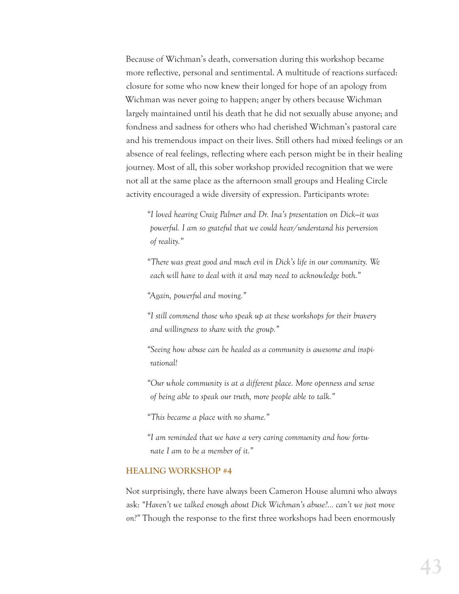Because of Wichman's death, conversation during this workshop became more reflective, personal and sentimental. A multitude of reactions surfaced: closure for some who now knew their longed for hope of an apology from Wichman was never going to happen; anger by others because Wichman largely maintained until his death that he did not sexually abuse anyone; and fondness and sadness for others who had cherished Wichman's pastoral care and his tremendous impact on their lives. Still others had mixed feelings or an absence of real feelings, reflecting where each person might be in their healing journey. Most of all, this sober workshop provided recognition that we were not all at the same place as the afternoon small groups and Healing Circle activity encouraged a wide diversity of expression. Participants wrote:

*"I loved hearing Craig Palmer and Dr. Ina's presentation on Dick—it was powerful. I am so grateful that we could hear/understand his perversion of reality."*

*"There was great good and much evil in Dick's life in our community. We each will have to deal with it and may need to acknowledge both."*

*"Again, powerful and moving."*

*"I still commend those who speak up at these workshops for their bravery and willingness to share with the group."*

*"Seeing how abuse can be healed as a community is awesome and inspirational!*

*"Our whole community is at a different place. More openness and sense of being able to speak our truth, more people able to talk."*

*"This became a place with no shame."*

*"I am reminded that we have a very caring community and how fortunate I am to be a member of it."*

#### **HEALING WORKSHOP #4**

Not surprisingly, there have always been Cameron House alumni who always ask: *"Haven't we talked enough about Dick Wichman's abuse?… can't we just move on?"* Though the response to the first three workshops had been enormously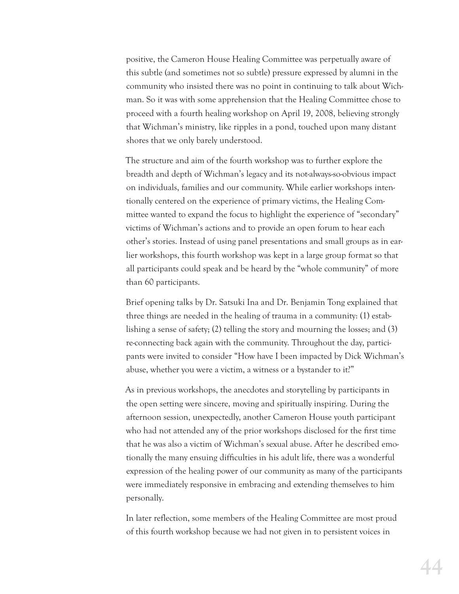positive, the Cameron House Healing Committee was perpetually aware of this subtle (and sometimes not so subtle) pressure expressed by alumni in the community who insisted there was no point in continuing to talk about Wichman. So it was with some apprehension that the Healing Committee chose to proceed with a fourth healing workshop on April 19, 2008, believing strongly that Wichman's ministry, like ripples in a pond, touched upon many distant shores that we only barely understood.

The structure and aim of the fourth workshop was to further explore the breadth and depth of Wichman's legacy and its not-always-so-obvious impact on individuals, families and our community. While earlier workshops intentionally centered on the experience of primary victims, the Healing Committee wanted to expand the focus to highlight the experience of "secondary" victims of Wichman's actions and to provide an open forum to hear each other's stories. Instead of using panel presentations and small groups as in earlier workshops, this fourth workshop was kept in a large group format so that all participants could speak and be heard by the "whole community" of more than 60 participants.

Brief opening talks by Dr. Satsuki Ina and Dr. Benjamin Tong explained that three things are needed in the healing of trauma in a community: (1) establishing a sense of safety; (2) telling the story and mourning the losses; and (3) re-connecting back again with the community. Throughout the day, participants were invited to consider "How have I been impacted by Dick Wichman's abuse, whether you were a victim, a witness or a bystander to it?"

As in previous workshops, the anecdotes and storytelling by participants in the open setting were sincere, moving and spiritually inspiring. During the afternoon session, unexpectedly, another Cameron House youth participant who had not attended any of the prior workshops disclosed for the first time that he was also a victim of Wichman's sexual abuse. After he described emotionally the many ensuing difficulties in his adult life, there was a wonderful expression of the healing power of our community as many of the participants were immediately responsive in embracing and extending themselves to him personally.

In later reflection, some members of the Healing Committee are most proud of this fourth workshop because we had not given in to persistent voices in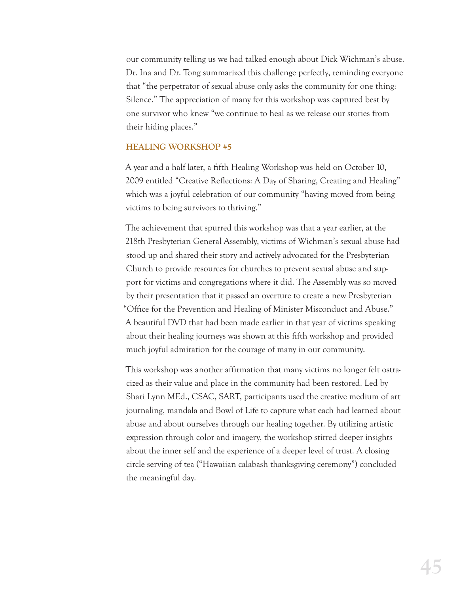our community telling us we had talked enough about Dick Wichman's abuse. Dr. Ina and Dr. Tong summarized this challenge perfectly, reminding everyone that "the perpetrator of sexual abuse only asks the community for one thing: Silence." The appreciation of many for this workshop was captured best by one survivor who knew "we continue to heal as we release our stories from their hiding places."

#### **HEALING WORKSHOP #5**

A year and a half later, a fifth Healing Workshop was held on October 10, 2009 entitled "Creative Reflections: A Day of Sharing, Creating and Healing" which was a joyful celebration of our community "having moved from being victims to being survivors to thriving."

The achievement that spurred this workshop was that a year earlier, at the 218th Presbyterian General Assembly, victims of Wichman's sexual abuse had stood up and shared their story and actively advocated for the Presbyterian Church to provide resources for churches to prevent sexual abuse and support for victims and congregations where it did. The Assembly was so moved by their presentation that it passed an overture to create a new Presbyterian "Office for the Prevention and Healing of Minister Misconduct and Abuse." A beautiful DVD that had been made earlier in that year of victims speaking about their healing journeys was shown at this fifth workshop and provided much joyful admiration for the courage of many in our community.

This workshop was another affirmation that many victims no longer felt ostracized as their value and place in the community had been restored. Led by Shari Lynn MEd., CSAC, SART, participants used the creative medium of art journaling, mandala and Bowl of Life to capture what each had learned about abuse and about ourselves through our healing together. By utilizing artistic expression through color and imagery, the workshop stirred deeper insights about the inner self and the experience of a deeper level of trust. A closing circle serving of tea ("Hawaiian calabash thanksgiving ceremony") concluded the meaningful day.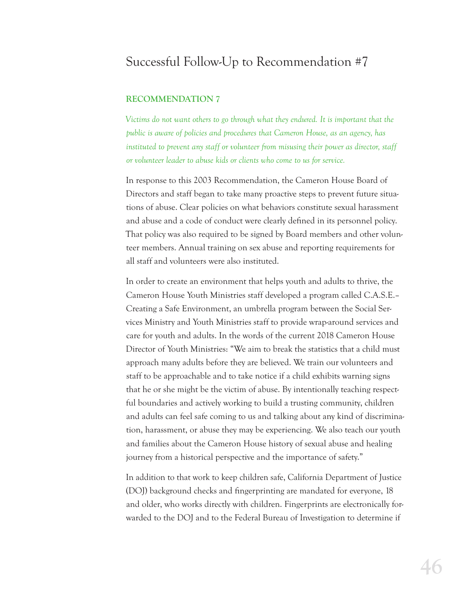## Successful Follow-Up to Recommendation #7

#### **RECOMMENDATION 7**

*Victims do not want others to go through what they endured. It is important that the public is aware of policies and procedures that Cameron House, as an agency, has*  instituted to prevent any staff or volunteer from misusing their power as director, staff *or volunteer leader to abuse kids or clients who come to us for service.*

In response to this 2003 Recommendation, the Cameron House Board of Directors and staff began to take many proactive steps to prevent future situations of abuse. Clear policies on what behaviors constitute sexual harassment and abuse and a code of conduct were clearly defined in its personnel policy. That policy was also required to be signed by Board members and other volunteer members. Annual training on sex abuse and reporting requirements for all staff and volunteers were also instituted.

In order to create an environment that helps youth and adults to thrive, the Cameron House Youth Ministries staff developed a program called C.A.S.E.– Creating a Safe Environment, an umbrella program between the Social Services Ministry and Youth Ministries staff to provide wrap-around services and care for youth and adults. In the words of the current 2018 Cameron House Director of Youth Ministries: "We aim to break the statistics that a child must approach many adults before they are believed. We train our volunteers and staff to be approachable and to take notice if a child exhibits warning signs that he or she might be the victim of abuse. By intentionally teaching respectful boundaries and actively working to build a trusting community, children and adults can feel safe coming to us and talking about any kind of discrimination, harassment, or abuse they may be experiencing. We also teach our youth and families about the Cameron House history of sexual abuse and healing journey from a historical perspective and the importance of safety."

In addition to that work to keep children safe, California Department of Justice (DOJ) background checks and fingerprinting are mandated for everyone, 18 and older, who works directly with children. Fingerprints are electronically forwarded to the DOJ and to the Federal Bureau of Investigation to determine if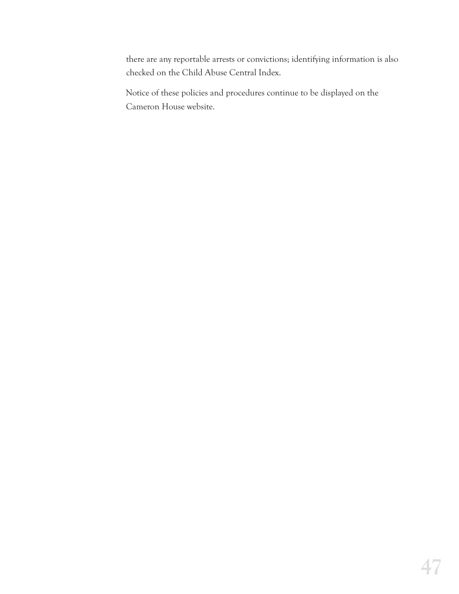there are any reportable arrests or convictions; identifying information is also checked on the Child Abuse Central Index.

Notice of these policies and procedures continue to be displayed on the Cameron House website.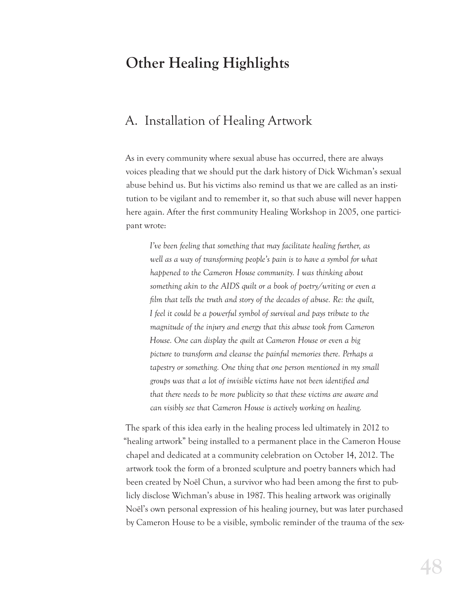# **Other Healing Highlights**

## A. Installation of Healing Artwork

As in every community where sexual abuse has occurred, there are always voices pleading that we should put the dark history of Dick Wichman's sexual abuse behind us. But his victims also remind us that we are called as an institution to be vigilant and to remember it, so that such abuse will never happen here again. After the first community Healing Workshop in 2005, one participant wrote:

*I've been feeling that something that may facilitate healing further, as well as a way of transforming people's pain is to have a symbol for what happened to the Cameron House community. I was thinking about something akin to the AIDS quilt or a book of poetry/writing or even a lm that tells the truth and story of the decades of abuse. Re: the quilt, I feel it could be a powerful symbol of survival and pays tribute to the magnitude of the injury and energy that this abuse took from Cameron House. One can display the quilt at Cameron House or even a big picture to transform and cleanse the painful memories there. Perhaps a tapestry or something. One thing that one person mentioned in my small groups was that a lot of invisible victims have not been identied and that there needs to be more publicity so that these victims are aware and can visibly see that Cameron House is actively working on healing.*

The spark of this idea early in the healing process led ultimately in 2012 to "healing artwork" being installed to a permanent place in the Cameron House chapel and dedicated at a community celebration on October 14, 2012. The artwork took the form of a bronzed sculpture and poetry banners which had been created by Noël Chun, a survivor who had been among the first to publicly disclose Wichman's abuse in 1987. This healing artwork was originally Noël's own personal expression of his healing journey, but was later purchased by Cameron House to be a visible, symbolic reminder of the trauma of the sex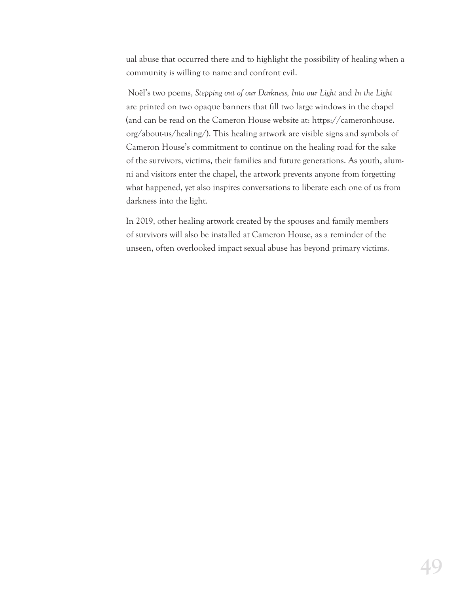ual abuse that occurred there and to highlight the possibility of healing when a community is willing to name and confront evil.

 Noël's two poems, *Stepping out of our Darkness, Into our Light* and *In the Light* are printed on two opaque banners that fill two large windows in the chapel (and can be read on the Cameron House website at: https://cameronhouse. org/about-us/healing/). This healing artwork are visible signs and symbols of Cameron House's commitment to continue on the healing road for the sake of the survivors, victims, their families and future generations. As youth, alumni and visitors enter the chapel, the artwork prevents anyone from forgetting what happened, yet also inspires conversations to liberate each one of us from darkness into the light.

In 2019, other healing artwork created by the spouses and family members of survivors will also be installed at Cameron House, as a reminder of the unseen, often overlooked impact sexual abuse has beyond primary victims.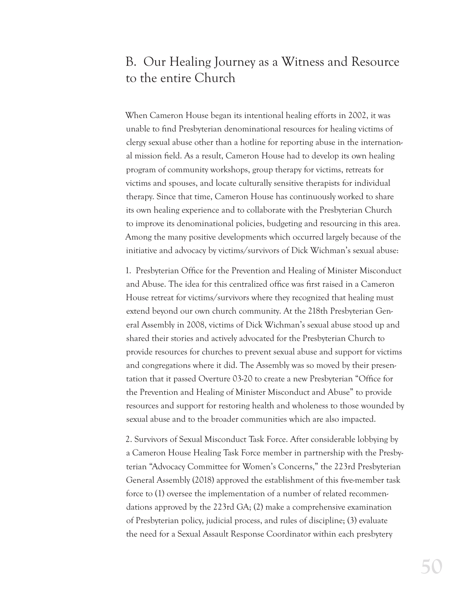## B. Our Healing Journey as a Witness and Resource to the entire Church

When Cameron House began its intentional healing efforts in 2002, it was unable to find Presbyterian denominational resources for healing victims of clergy sexual abuse other than a hotline for reporting abuse in the international mission field. As a result, Cameron House had to develop its own healing program of community workshops, group therapy for victims, retreats for victims and spouses, and locate culturally sensitive therapists for individual therapy. Since that time, Cameron House has continuously worked to share its own healing experience and to collaborate with the Presbyterian Church to improve its denominational policies, budgeting and resourcing in this area. Among the many positive developments which occurred largely because of the initiative and advocacy by victims/survivors of Dick Wichman's sexual abuse:

1. Presbyterian Office for the Prevention and Healing of Minister Misconduct and Abuse. The idea for this centralized office was first raised in a Cameron House retreat for victims/survivors where they recognized that healing must extend beyond our own church community. At the 218th Presbyterian General Assembly in 2008, victims of Dick Wichman's sexual abuse stood up and shared their stories and actively advocated for the Presbyterian Church to provide resources for churches to prevent sexual abuse and support for victims and congregations where it did. The Assembly was so moved by their presentation that it passed Overture 03-20 to create a new Presbyterian "Office for the Prevention and Healing of Minister Misconduct and Abuse" to provide resources and support for restoring health and wholeness to those wounded by sexual abuse and to the broader communities which are also impacted.

2. Survivors of Sexual Misconduct Task Force. After considerable lobbying by a Cameron House Healing Task Force member in partnership with the Presbyterian "Advocacy Committee for Women's Concerns," the 223rd Presbyterian General Assembly (2018) approved the establishment of this five-member task force to (1) oversee the implementation of a number of related recommendations approved by the 223rd GA; (2) make a comprehensive examination of Presbyterian policy, judicial process, and rules of discipline; (3) evaluate the need for a Sexual Assault Response Coordinator within each presbytery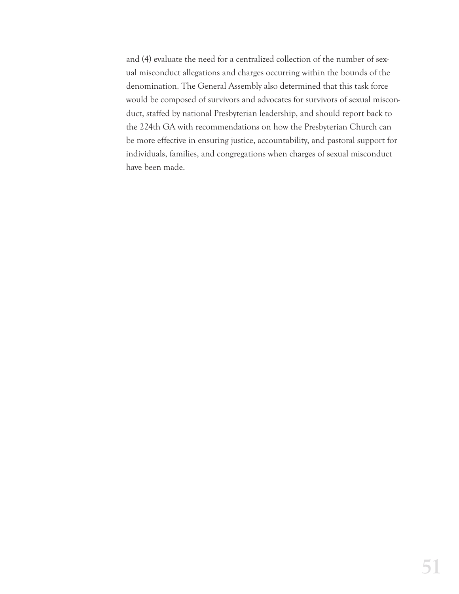and (4) evaluate the need for a centralized collection of the number of sexual misconduct allegations and charges occurring within the bounds of the denomination. The General Assembly also determined that this task force would be composed of survivors and advocates for survivors of sexual misconduct, staffed by national Presbyterian leadership, and should report back to the 224th GA with recommendations on how the Presbyterian Church can be more effective in ensuring justice, accountability, and pastoral support for individuals, families, and congregations when charges of sexual misconduct have been made.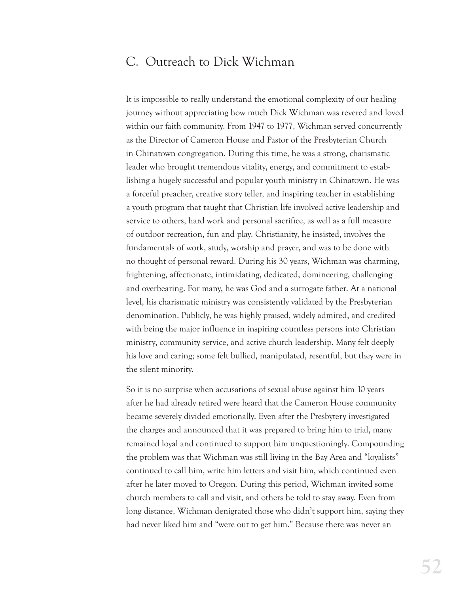## C. Outreach to Dick Wichman

It is impossible to really understand the emotional complexity of our healing journey without appreciating how much Dick Wichman was revered and loved within our faith community. From 1947 to 1977, Wichman served concurrently as the Director of Cameron House and Pastor of the Presbyterian Church in Chinatown congregation. During this time, he was a strong, charismatic leader who brought tremendous vitality, energy, and commitment to establishing a hugely successful and popular youth ministry in Chinatown. He was a forceful preacher, creative story teller, and inspiring teacher in establishing a youth program that taught that Christian life involved active leadership and service to others, hard work and personal sacrifice, as well as a full measure of outdoor recreation, fun and play. Christianity, he insisted, involves the fundamentals of work, study, worship and prayer, and was to be done with no thought of personal reward. During his 30 years, Wichman was charming, frightening, affectionate, intimidating, dedicated, domineering, challenging and overbearing. For many, he was God and a surrogate father. At a national level, his charismatic ministry was consistently validated by the Presbyterian denomination. Publicly, he was highly praised, widely admired, and credited with being the major influence in inspiring countless persons into Christian ministry, community service, and active church leadership. Many felt deeply his love and caring; some felt bullied, manipulated, resentful, but they were in the silent minority.

So it is no surprise when accusations of sexual abuse against him 10 years after he had already retired were heard that the Cameron House community became severely divided emotionally. Even after the Presbytery investigated the charges and announced that it was prepared to bring him to trial, many remained loyal and continued to support him unquestioningly. Compounding the problem was that Wichman was still living in the Bay Area and "loyalists" continued to call him, write him letters and visit him, which continued even after he later moved to Oregon. During this period, Wichman invited some church members to call and visit, and others he told to stay away. Even from long distance, Wichman denigrated those who didn't support him, saying they had never liked him and "were out to get him." Because there was never an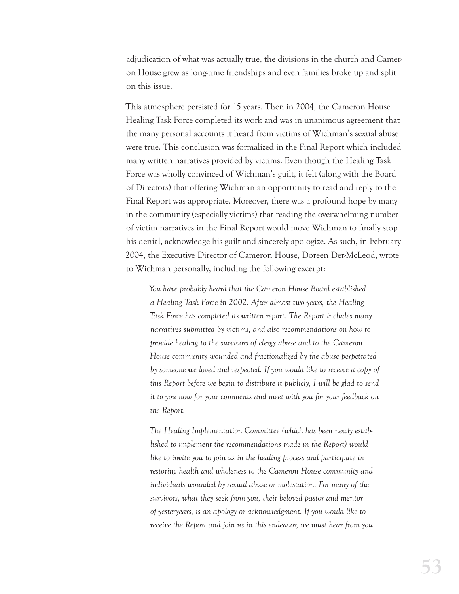adjudication of what was actually true, the divisions in the church and Cameron House grew as long-time friendships and even families broke up and split on this issue.

This atmosphere persisted for 15 years. Then in 2004, the Cameron House Healing Task Force completed its work and was in unanimous agreement that the many personal accounts it heard from victims of Wichman's sexual abuse were true. This conclusion was formalized in the Final Report which included many written narratives provided by victims. Even though the Healing Task Force was wholly convinced of Wichman's guilt, it felt (along with the Board of Directors) that offering Wichman an opportunity to read and reply to the Final Report was appropriate. Moreover, there was a profound hope by many in the community (especially victims) that reading the overwhelming number of victim narratives in the Final Report would move Wichman to finally stop his denial, acknowledge his guilt and sincerely apologize. As such, in February 2004, the Executive Director of Cameron House, Doreen Der-McLeod, wrote to Wichman personally, including the following excerpt:

*You have probably heard that the Cameron House Board established a Healing Task Force in 2002. After almost two years, the Healing Task Force has completed its written report. The Report includes many narratives submitted by victims, and also recommendations on how to provide healing to the survivors of clergy abuse and to the Cameron House community wounded and fractionalized by the abuse perpetrated by someone we loved and respected. If you would like to receive a copy of this Report before we begin to distribute it publicly, I will be glad to send it to you now for your comments and meet with you for your feedback on the Report.* 

*The Healing Implementation Committee (which has been newly established to implement the recommendations made in the Report) would like to invite you to join us in the healing process and participate in restoring health and wholeness to the Cameron House community and individuals wounded by sexual abuse or molestation. For many of the survivors, what they seek from you, their beloved pastor and mentor of yesteryears, is an apology or acknowledgment. If you would like to receive the Report and join us in this endeavor, we must hear from you*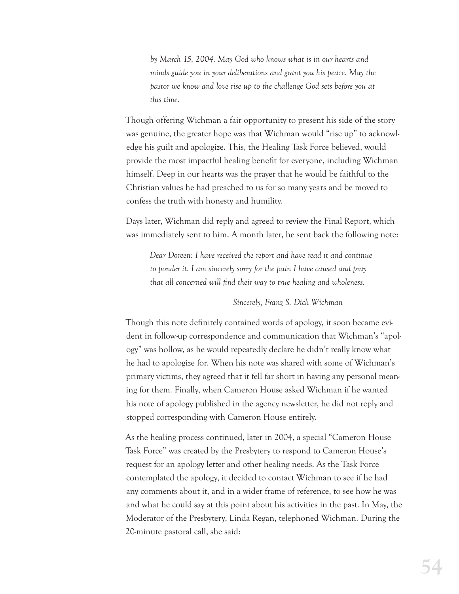*by March 15, 2004. May God who knows what is in our hearts and minds guide you in your deliberations and grant you his peace. May the pastor we know and love rise up to the challenge God sets before you at this time.*

Though offering Wichman a fair opportunity to present his side of the story was genuine, the greater hope was that Wichman would "rise up" to acknowledge his guilt and apologize. This, the Healing Task Force believed, would provide the most impactful healing benefit for everyone, including Wichman himself. Deep in our hearts was the prayer that he would be faithful to the Christian values he had preached to us for so many years and be moved to confess the truth with honesty and humility.

Days later, Wichman did reply and agreed to review the Final Report, which was immediately sent to him. A month later, he sent back the following note:

*Dear Doreen: I have received the report and have read it and continue to ponder it. I am sincerely sorry for the pain I have caused and pray that all concerned will find their way to true healing and wholeness.* 

#### *Sincerely, Franz S. Dick Wichman*

Though this note definitely contained words of apology, it soon became evident in follow-up correspondence and communication that Wichman's "apology" was hollow, as he would repeatedly declare he didn't really know what he had to apologize for. When his note was shared with some of Wichman's primary victims, they agreed that it fell far short in having any personal meaning for them. Finally, when Cameron House asked Wichman if he wanted his note of apology published in the agency newsletter, he did not reply and stopped corresponding with Cameron House entirely.

As the healing process continued, later in 2004, a special "Cameron House Task Force" was created by the Presbytery to respond to Cameron House's request for an apology letter and other healing needs. As the Task Force contemplated the apology, it decided to contact Wichman to see if he had any comments about it, and in a wider frame of reference, to see how he was and what he could say at this point about his activities in the past. In May, the Moderator of the Presbytery, Linda Regan, telephoned Wichman. During the 20-minute pastoral call, she said: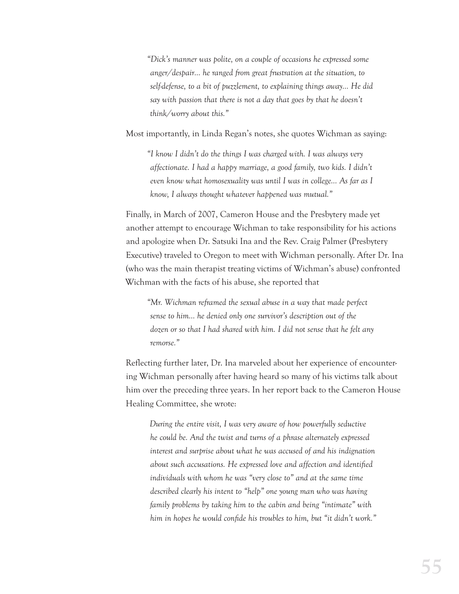*"Dick's manner was polite, on a couple of occasions he expressed some anger/despair… he ranged from great frustration at the situation, to self-defense, to a bit of puzzlement, to explaining things away… He did say with passion that there is not a day that goes by that he doesn't think/worry about this."*

Most importantly, in Linda Regan's notes, she quotes Wichman as saying:

*"I know I didn't do the things I was charged with. I was always very affectionate. I had a happy marriage, a good family, two kids. I didn't even know what homosexuality was until I was in college… As far as I know, I always thought whatever happened was mutual."*

Finally, in March of 2007, Cameron House and the Presbytery made yet another attempt to encourage Wichman to take responsibility for his actions and apologize when Dr. Satsuki Ina and the Rev. Craig Palmer (Presbytery Executive) traveled to Oregon to meet with Wichman personally. After Dr. Ina (who was the main therapist treating victims of Wichman's abuse) confronted Wichman with the facts of his abuse, she reported that

*"Mr. Wichman reframed the sexual abuse in a way that made perfect sense to him… he denied only one survivor's description out of the dozen or so that I had shared with him. I did not sense that he felt any remorse."*

Reflecting further later, Dr. Ina marveled about her experience of encountering Wichman personally after having heard so many of his victims talk about him over the preceding three years. In her report back to the Cameron House Healing Committee, she wrote:

*During the entire visit, I was very aware of how powerfully seductive he could be. And the twist and turns of a phrase alternately expressed interest and surprise about what he was accused of and his indignation about such accusations. He expressed love and affection and identied individuals with whom he was "very close to" and at the same time described clearly his intent to "help" one young man who was having family problems by taking him to the cabin and being "intimate" with him in hopes he would conde his troubles to him, but "it didn't work."*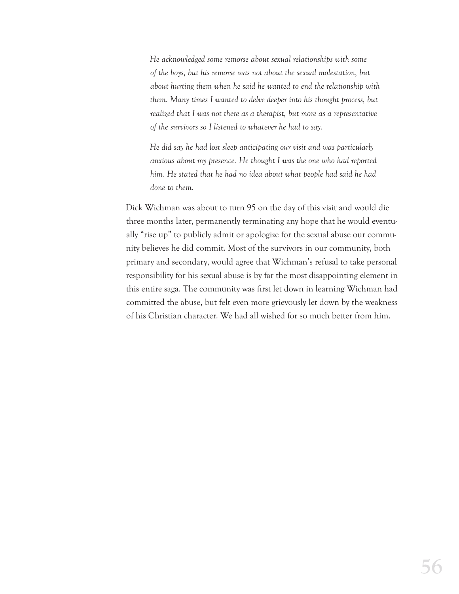*He acknowledged some remorse about sexual relationships with some of the boys, but his remorse was not about the sexual molestation, but about hurting them when he said he wanted to end the relationship with them. Many times I wanted to delve deeper into his thought process, but realized that I was not there as a therapist, but more as a representative of the survivors so I listened to whatever he had to say.*

*He did say he had lost sleep anticipating our visit and was particularly anxious about my presence. He thought I was the one who had reported him. He stated that he had no idea about what people had said he had done to them.*

Dick Wichman was about to turn 95 on the day of this visit and would die three months later, permanently terminating any hope that he would eventually "rise up" to publicly admit or apologize for the sexual abuse our community believes he did commit. Most of the survivors in our community, both primary and secondary, would agree that Wichman's refusal to take personal responsibility for his sexual abuse is by far the most disappointing element in this entire saga. The community was first let down in learning Wichman had committed the abuse, but felt even more grievously let down by the weakness of his Christian character. We had all wished for so much better from him.